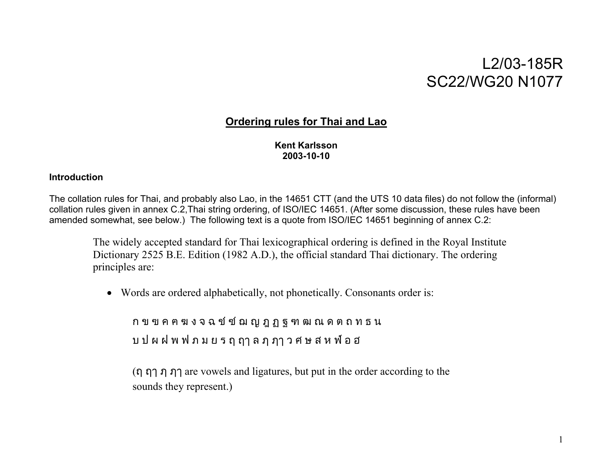# L2/03-185R SC22/WG20 N1077

## **Ordering rules for Thai and Lao**

**Kent Karlsson 2003-10-10** 

## **Introduction**

The collation rules for Thai, and probably also Lao, in the 14651 CTT (and the UTS 10 data files) do not follow the (informal) collation rules given in annex C.2,Thai string ordering, of ISO/IEC 14651. (After some discussion, these rules have been amended somewhat, see below.) The following text is a quote from ISO/IEC 14651 beginning of annex C.2:

The widely accepted standard for Thai lexicographical ordering is defined in the Royal Institute Dictionary 2525 B.E. Edition (1982 A.D.), the official standard Thai dictionary. The ordering principles are:

• Words are ordered alphabetically, not phonetically. Consonants order is:

ก ข ฃ ค ฅ ฆ ง จ ฉ ช ซ ฌ ญ ฎ ฏ ฐ ฑ ฒ ณ ด ต ถ ท ธ น บ ป ผ ฝ พ ฟ ภ ม ย ร ฤ ฤๅ ล ฦ ฦๅ ว ศ ษ ส ห ฬ อ ฮ

(ฤ ฤๅ ฦ ฦๅ are vowels and ligatures, but put in the order according to the sounds they represent.)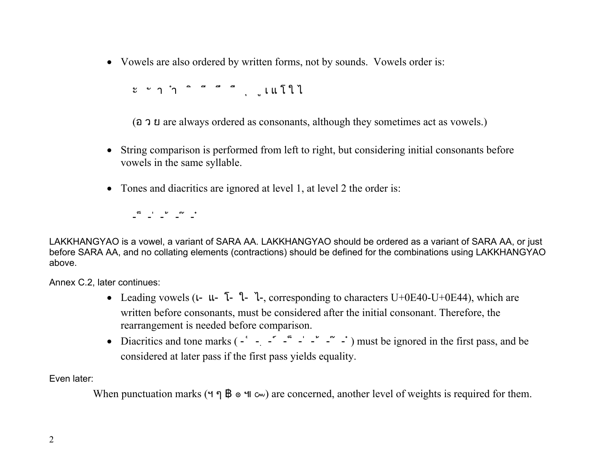• Vowels are also ordered by written forms, not by sounds. Vowels order is:

ะ ั า ำ ิ ี ึ ื ุ ู เ แ โ ใ ไ

(อ ว ย are always ordered as consonants, although they sometimes act as vowels.)

- String comparison is performed from left to right, but considering initial consonants before vowels in the same syllable.
- Tones and diacritics are ignored at level 1, at level 2 the order is:

-็ -่ -้ -๊ -๋

LAKKHANGYAO is a vowel, a variant of SARA AA. LAKKHANGYAO should be ordered as a variant of SARA AA, or just before SARA AA, and no collating elements (contractions) should be defined for the combinations using LAKKHANGYAO above.

Annex C.2, later continues:

- Leading vowels  $(L L \bar{L} L)$ , corresponding to characters U+0E40-U+0E44), which are written before consonants, must be considered after the initial consonant. Therefore, the rearrangement is needed before comparison.
- Diacritics and tone marks  $(-\cdot \cdot \cdot \cdot \cdot \cdot \cdot \cdot)$  must be ignored in the first pass, and be considered at later pass if the first pass yields equality.

Even later:

When punctuation marks (ฯ ๆ ฿ ๏ ๚ ๛) are concerned, another level of weights is required for them.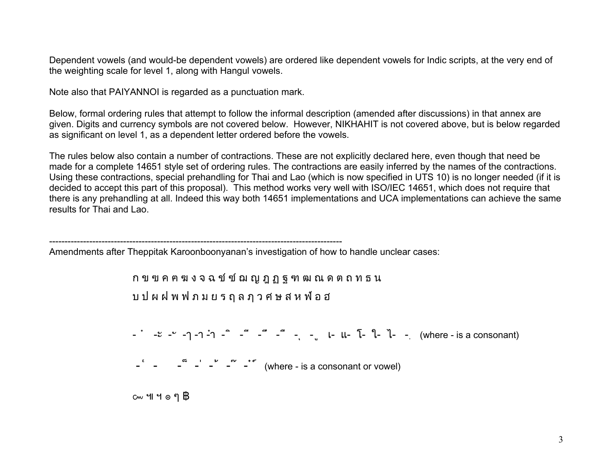Dependent vowels (and would-be dependent vowels) are ordered like dependent vowels for Indic scripts, at the very end of the weighting scale for level 1, along with Hangul vowels.

Note also that PAIYANNOI is regarded as a punctuation mark.

Below, formal ordering rules that attempt to follow the informal description (amended after discussions) in that annex are given. Digits and currency symbols are not covered below. However, NIKHAHIT is not covered above, but is below regarded as significant on level 1, as a dependent letter ordered before the vowels.

The rules below also contain a number of contractions. These are not explicitly declared here, even though that need be made for a complete 14651 style set of ordering rules. The contractions are easily inferred by the names of the contractions. Using these contractions, special prehandling for Thai and Lao (which is now specified in UTS 10) is no longer needed (if it is decided to accept this part of this proposal). This method works very well with ISO/IEC 14651, which does not require that there is any prehandling at all. Indeed this way both 14651 implementations and UCA implementations can achieve the same results for Thai and Lao.

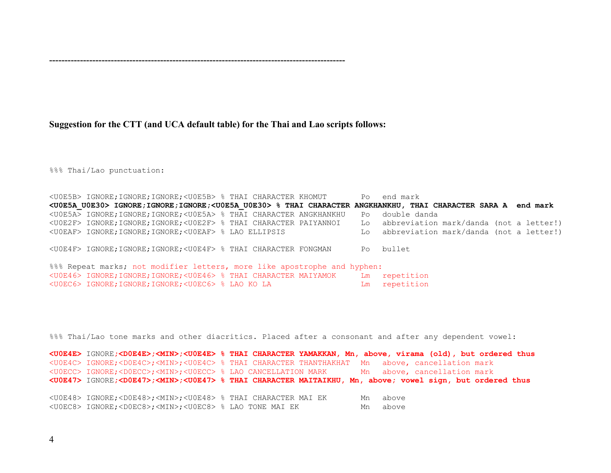## ------------------------------------------------------------------------------------------------

## **Suggestion for the CTT (and UCA default table) for the Thai and Lao scripts follows:**

%%% Thai/Lao punctuation:

|                                                                          | <u0e5b> IGNORE;IGNORE;IGNORE;<u0e5b> % THAI CHARACTER KHOMUT</u0e5b></u0e5b>     |  |  |  |  |                                                                                                                                    |  | Po end mark                                |  |  |
|--------------------------------------------------------------------------|----------------------------------------------------------------------------------|--|--|--|--|------------------------------------------------------------------------------------------------------------------------------------|--|--------------------------------------------|--|--|
|                                                                          |                                                                                  |  |  |  |  | <u0e5a u0e30=""> IGNORE;IGNORE;IGNORE;<u0e5a u0e30=""> % THAI CHARACTER ANGKHANKHU, THAI CHARACTER SARA A end mark</u0e5a></u0e5a> |  |                                            |  |  |
|                                                                          | <u0e5a> IGNORE;IGNORE;IGNORE;<u0e5a> % THAI CHARACTER ANGKHANKHU</u0e5a></u0e5a> |  |  |  |  |                                                                                                                                    |  | Po double danda                            |  |  |
|                                                                          | <u0e2f> IGNORE;IGNORE;IGNORE;<u0e2f> % THAI CHARACTER PAIYANNOI</u0e2f></u0e2f>  |  |  |  |  |                                                                                                                                    |  | Lo abbreviation mark/danda (not a letter!) |  |  |
|                                                                          | <u0eaf> IGNORE;IGNORE;IGNORE;<u0eaf> % LAO ELLIPSIS</u0eaf></u0eaf>              |  |  |  |  |                                                                                                                                    |  | Lo abbreviation mark/danda (not a letter!) |  |  |
|                                                                          | <u0e4f> IGNORE; IGNORE; IGNORE; <u0e4f> % THAI CHARACTER FONGMAN</u0e4f></u0e4f> |  |  |  |  |                                                                                                                                    |  | Po bullet                                  |  |  |
| %%% Repeat marks; not modifier letters, more like apostrophe and hyphen: |                                                                                  |  |  |  |  |                                                                                                                                    |  |                                            |  |  |
|                                                                          |                                                                                  |  |  |  |  | <u0e46> IGNORE;IGNORE;IGNORE;<u0e46> % THAI CHARACTER MAIYAMOK Lm</u0e46></u0e46>                                                  |  | repetition                                 |  |  |
|                                                                          | <u0ec6> IGNORE;IGNORE;IGNORE;<u0ec6> % LAO KO LA</u0ec6></u0ec6>                 |  |  |  |  |                                                                                                                                    |  | Lm repetition                              |  |  |

%%% Thai/Lao tone marks and other diacritics. Placed after a consonant and after any dependent vowel:

| <uoe4e> IGNORE;<doe4e>;<min>;<uoe4e> % THAI CHARACTER YAMAKKAN, Mn, above, virama (old), but ordered thus</uoe4e></min></doe4e></uoe4e> |  |    |                             |  |  |
|-----------------------------------------------------------------------------------------------------------------------------------------|--|----|-----------------------------|--|--|
| <u0e4c> IGNORE;<d0e4c>;<min>;<u0e4c> % THAI CHARACTER THANTHAKHAT Mn above, cancellation mark</u0e4c></min></d0e4c></u0e4c>             |  |    |                             |  |  |
| <u0ecc> IGNORE;<d0ecc>;<min>;<u0ecc> % LAO CANCELLATION MARK</u0ecc></min></d0ecc></u0ecc>                                              |  |    | Mn above, cancellation mark |  |  |
| <u0e47> IGNORE;<d0e47>;<min>;<u0e47> % THAI CHARACTER MAITAIKHU, Mn, above; vowel sign, but ordered thus</u0e47></min></d0e47></u0e47>  |  |    |                             |  |  |
|                                                                                                                                         |  |    |                             |  |  |
| <u0e48> IGNORE;<d0e48>;<min>;<u0e48> % THAI CHARACTER MAI EK</u0e48></min></d0e48></u0e48>                                              |  | Mn | above                       |  |  |
| <u0ec8> IGNORE;<d0ec8>;<min>;<u0ec8> % LAO TONE MAI EK</u0ec8></min></d0ec8></u0ec8>                                                    |  | Mn | above                       |  |  |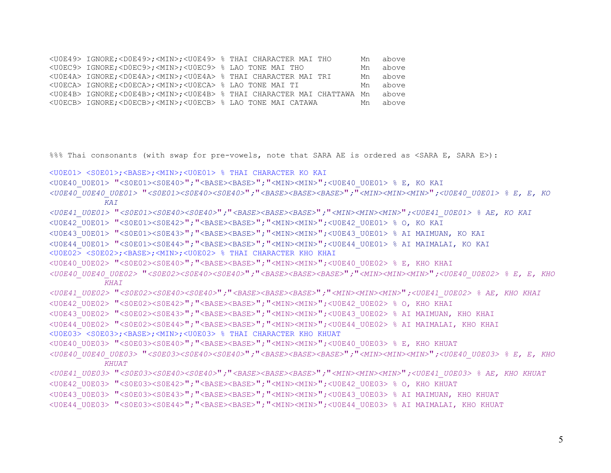```
<U0E49> IGNORE;<D0E49>;<MIN>;<U0E49> % THAI CHARACTER MAI THO Mn above 
<U0EC9> IGNORE;<D0EC9>;<MIN>;<U0EC9> % LAO TONE MAI THO Mn above 
<U0E4A> IGNORE;<D0E4A>;<MIN>;<U0E4A> % THAI CHARACTER MAI TRI Mn above 
<U0ECA> IGNORE;<D0ECA>;<MIN>;<U0ECA> % LAO TONE MAI TI Mn above 
<U0E4B> IGNORE;<D0E4B>;<MIN>;<U0E4B> % THAI CHARACTER MAI CHATTAWA Mn above 
<U0ECB> IGNORE;<D0ECB>;<MIN>;<U0ECB> % LAO TONE MAI CATAWA Mn above
```

```
%%% Thai consonants (with swap for pre-vowels, note that SARA AE is ordered as <SARA E, SARA E>):
```
<U0E01> <S0E01>;<BASE>;<MIN>;<U0E01> % THAI CHARACTER KO KAI

```
<U0E40_U0E01> "<S0E01><S0E40>";"<BASE><BASE>";"<MIN><MIN>";<U0E40_U0E01> % E, KO KAI
```

```
<U0E40_U0E40_U0E01> "<S0E01><S0E40><S0E40>";"<BASE><BASE><BASE>";"<MIN><MIN><MIN>";<U0E40_U0E01> % E, E, KO 
           KAI <U0E41_U0E01> "<S0E01><S0E40><S0E40>";"<BASE><BASE><BASE>";"<MIN><MIN><MIN>";<U0E41_U0E01> % AE, KO KAI 
<U0E42_U0E01> "<S0E01><S0E42>";"<BASE><BASE>";"<MIN><MIN>";<U0E42_U0E01> % O, KO KAI 
<U0E43_U0E01> "<S0E01><S0E43>";"<BASE><BASE>";"<MIN><MIN>";<U0E43_U0E01> % AI MAIMUAN, KO KAI 
<U0E44_U0E01> "<S0E01><S0E44>";"<BASE><BASE>";"<MIN><MIN>";<U0E44_U0E01> % AI MAIMALAI, KO KAI 
<U0E02> <S0E02>;<BASE>;<MIN>;<U0E02> % THAI CHARACTER KHO KHAI 
<U0E40 U0E02> "<S0E02><S0E40>"; "<BASE><BASE>"; "<MIN><MIN>";<U0E40 U0E02> % E, KHO KHAI
<U0E40_U0E40_U0E02> "<S0E02><S0E40><S0E40>";"<BASE><BASE><BASE>";"<MIN><MIN><MIN>";<U0E40_U0E02> % E, E, KHO 
           KHAI <U0E41_U0E02> "<S0E02><S0E40><S0E40>";"<BASE><BASE><BASE>";"<MIN><MIN><MIN>";<U0E41_U0E02> % AE, KHO KHAI 
<U0E42_U0E02> "<S0E02><S0E42>";"<BASE><BASE>";"<MIN><MIN>";<U0E42_U0E02> % O, KHO KHAI 
<U0E43_U0E02> "<S0E02><S0E43>";"<BASE><BASE>";"<MIN><MIN>";<U0E43_U0E02> % AI MAIMUAN, KHO KHAI 
<U0E44_U0E02> "<S0E02><S0E44>";"<BASE><BASE>";"<MIN><MIN>";<U0E44_U0E02> % AI MAIMALAI, KHO KHAI 
<U0E03> <S0E03>;<BASE>;<MIN>;<U0E03> % THAI CHARACTER KHO KHUAT 
<U0E40 U0E03> "<S0E03><S0E40>"; "<BASE><BASE>"; "<MIN><MIN>";<U0E40 U0E03> % E, KHO KHUAT
<U0E40_U0E40_U0E03> "<S0E03><S0E40><S0E40>";"<BASE><BASE><BASE>";"<MIN><MIN><MIN>";<U0E40_U0E03> % E, E, KHO 
           KHUAT <U0E41_U0E03> "<S0E03><S0E40><S0E40>";"<BASE><BASE><BASE>";"<MIN><MIN><MIN>";<U0E41_U0E03> % AE, KHO KHUAT 
<U0E42_U0E03> "<S0E03><S0E42>";"<BASE><BASE>";"<MIN><MIN>";<U0E42_U0E03> % O, KHO KHUAT 
<U0E43_U0E03> "<S0E03><S0E43>";"<BASE><BASE>";"<MIN><MIN>";<U0E43_U0E03> % AI MAIMUAN, KHO KHUAT
```

```
<U0E44_U0E03> "<S0E03><S0E44>";"<BASE><BASE>";"<MIN><MIN>";<U0E44_U0E03> % AI MAIMALAI, KHO KHUAT
```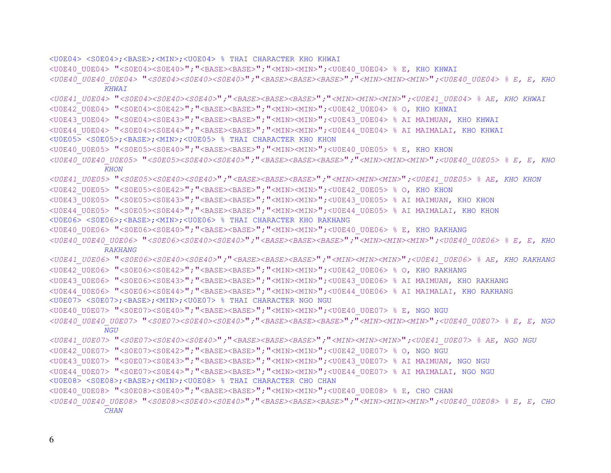<U0E04> <S0E04>;<BASE>;<MIN>;<U0E04> % THAI CHARACTER KHO KHWAI

<U0E40\_U0E04> "<S0E04><S0E40>";"<BASE><BASE>";"<MIN><MIN>";<U0E40\_U0E04> % E, KHO KHWAI

*<U0E40\_U0E40\_U0E04>* "*<S0E04><S0E40><S0E40>*"*;*"*<BASE><BASE><BASE>*"*;*"*<MIN><MIN><MIN>*"*;<U0E40\_U0E04> % E, E, KHO KHWAI*

*<U0E41\_U0E04>* "*<S0E04><S0E40><S0E40>*"*;*"*<BASE><BASE><BASE>*"*;*"*<MIN><MIN><MIN>*"*;<U0E41\_U0E04> % AE, KHO KHWAI*

<U0E42\_U0E04> "<S0E04><S0E42>";"<BASE><BASE>";"<MIN><MIN>";<U0E42\_U0E04> % O, KHO KHWAI

<U0E43\_U0E04> "<S0E04><S0E43>";"<BASE><BASE>";"<MIN><MIN>";<U0E43\_U0E04> % AI MAIMUAN, KHO KHWAI

<U0E44\_U0E04> "<S0E04><S0E44>";"<BASE><BASE>";"<MIN><MIN>";<U0E44\_U0E04> % AI MAIMALAI, KHO KHWAI

<U0E05> <S0E05>;<BASE>;<MIN>;<U0E05> % THAI CHARACTER KHO KHON

<U0E40 U0E05> "<S0E05><S0E40>"; "<BASE><BASE>"; "<MIN><MIN>";<U0E40 U0E05> % E, KHO KHON

*<U0E40\_U0E40\_U0E05>* "*<S0E05><S0E40><S0E40>*"*;*"*<BASE><BASE><BASE>*"*;*"*<MIN><MIN><MIN>*"*;<U0E40\_U0E05> % E, E, KHO KHON*

*<U0E41\_U0E05>* "*<S0E05><S0E40><S0E40>*"*;*"*<BASE><BASE><BASE>*"*;*"*<MIN><MIN><MIN>*"*;<U0E41\_U0E05> % AE, KHO KHON*

<U0E42 U0E05> "<S0E05><S0E42>"; "<BASE><BASE>"; "<MIN><MIN>";<U0E42 U0E05> % O, KHO KHON

<U0E43\_U0E05> "<S0E05><S0E43>";"<BASE><BASE>";"<MIN><MIN>";<U0E43\_U0E05> % AI MAIMUAN, KHO KHON

<U0E44\_U0E05> "<S0E05><S0E44>";"<BASE><BASE>";"<MIN><MIN>";<U0E44\_U0E05> % AI MAIMALAI, KHO KHON

<U0E06> <S0E06>;<BASE>;<MIN>;<U0E06> % THAI CHARACTER KHO RAKHANG

<U0E40\_U0E06> "<S0E06><S0E40>";"<BASE><BASE>";"<MIN><MIN>";<U0E40\_U0E06> % E, KHO RAKHANG

*<U0E40\_U0E40\_U0E06>* "*<S0E06><S0E40><S0E40>*"*;*"*<BASE><BASE><BASE>*"*;*"*<MIN><MIN><MIN>*"*;<U0E40\_U0E06> % E, E, KHO RAKHANG*

*<U0E41\_U0E06>* "*<S0E06><S0E40><S0E40>*"*;*"*<BASE><BASE><BASE>*"*;*"*<MIN><MIN><MIN>*"*;<U0E41\_U0E06> % AE, KHO RAKHANG* <U0E42\_U0E06> "<S0E06><S0E42>";"<BASE><BASE>";"<MIN><MIN>";<U0E42\_U0E06> % O, KHO RAKHANG

<U0E43\_U0E06> "<S0E06><S0E43>";"<BASE><BASE>";"<MIN><MIN>";<U0E43\_U0E06> % AI MAIMUAN, KHO RAKHANG

<U0E44\_U0E06> "<S0E06><S0E44>";"<BASE><BASE>";"<MIN><MIN>";<U0E44\_U0E06> % AI MAIMALAI, KHO RAKHANG <U0E07> <S0E07>;<BASE>;<MIN>;<U0E07> % THAI CHARACTER NGO NGU

<U0E40 U0E07> "<S0E07><S0E40>"; "<BASE><BASE>"; "<MIN><MIN>";<U0E40 U0E07> % E, NGO NGU

*<U0E40\_U0E40\_U0E07>* "*<S0E07><S0E40><S0E40>*"*;*"*<BASE><BASE><BASE>*"*;*"*<MIN><MIN><MIN>*"*;<U0E40\_U0E07> % E, E, NGO NGU*

*<U0E41\_U0E07>* "*<S0E07><S0E40><S0E40>*"*;*"*<BASE><BASE><BASE>*"*;*"*<MIN><MIN><MIN>*"*;<U0E41\_U0E07> % AE, NGO NGU*

<U0E42\_U0E07> "<S0E07><S0E42>";"<BASE><BASE>";"<MIN><MIN>";<U0E42\_U0E07> % O, NGO NGU

<U0E43\_U0E07> "<S0E07><S0E43>";"<BASE><BASE>";"<MIN><MIN>";<U0E43\_U0E07> % AI MAIMUAN, NGO NGU

<U0E44\_U0E07> "<S0E07><S0E44>";"<BASE><BASE>";"<MIN><MIN>";<U0E44\_U0E07> % AI MAIMALAI, NGO NGU

<U0E08> <S0E08>;<BASE>;<MIN>;<U0E08> % THAI CHARACTER CHO CHAN

<U0E40 U0E08> "<S0E08><S0E40>"; "<BASE><BASE>"; "<MIN><MIN>";<U0E40 U0E08> % E, CHO CHAN

*<U0E40\_U0E40\_U0E08>* "*<S0E08><S0E40><S0E40>*"*;*"*<BASE><BASE><BASE>*"*;*"*<MIN><MIN><MIN>*"*;<U0E40\_U0E08> % E, E, CHO CHAN*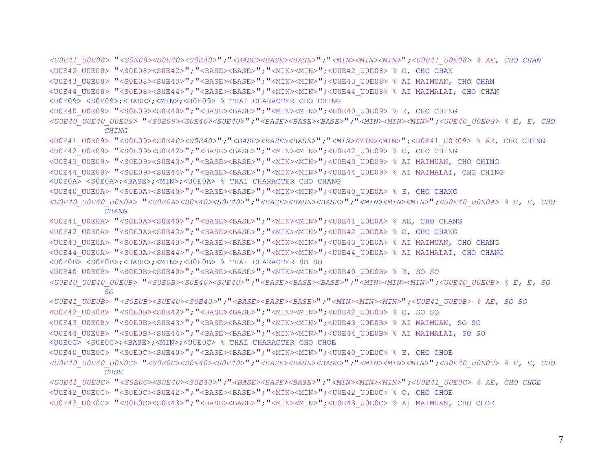```
<U0E41_U0E08> "<S0E08><S0E40><S0E40>";"<BASE><BASE><BASE>";"<MIN><MIN><MIN>";<U0E41_U0E08> % AE, CHO CHAN
<U0E42_U0E08> "<S0E08><S0E42>";"<BASE><BASE>";"<MIN><MIN>";<U0E42_U0E08> % O, CHO CHAN
<U0E43_U0E08> "<S0E08><S0E43>";"<BASE><BASE>";"<MIN><MIN>";<U0E43_U0E08> % AI MAIMUAN, CHO CHAN
<U0E44_U0E08> "<S0E08><S0E44>";"<BASE><BASE>";"<MIN><MIN>";<U0E44_U0E08> % AI MAIMALAI, CHO CHAN
<U0E09> <S0E09>;<BASE>;<MIN>;<U0E09> % THAI CHARACTER CHO CHING 
<U0E40_U0E09> "<S0E09><S0E40>";"<BASE><BASE>";"<MIN><MIN>";<U0E40_U0E09> % E, CHO CHING
<U0E40_U0E40_U0E09> "<S0E09><S0E40><S0E40>";"<BASE><BASE><BASE>";"<MIN><MIN><MIN>";<U0E40_U0E09> % E, E, CHO 
           CHING<U0E41_U0E09> "<S0E09><S0E40><S0E40>";"<BASE><BASE><BASE>";"<MIN><MIN><MIN>";<U0E41_U0E09> % AE, CHO CHING
<U0E42_U0E09> "<S0E09><S0E42>";"<BASE><BASE>";"<MIN><MIN>";<U0E42_U0E09> % O, CHO CHING
<U0E43_U0E09> "<S0E09><S0E43>";"<BASE><BASE>";"<MIN><MIN>";<U0E43_U0E09> % AI MAIMUAN, CHO CHING
<U0E44_U0E09> "<S0E09><S0E44>";"<BASE><BASE>";"<MIN><MIN>";<U0E44_U0E09> % AI MAIMALAI, CHO CHING
<U0E0A> <S0E0A>;<BASE>;<MIN>;<U0E0A> % THAI CHARACTER CHO CHANG 
<U0E40_U0E0A> "<S0E0A><S0E40>";"<BASE><BASE>";"<MIN><MIN>";<U0E40_U0E0A> % E, CHO CHANG
<U0E40_U0E40_U0E0A> "<S0E0A><S0E40><S0E40>";"<BASE><BASE><BASE>";"<MIN><MIN><MIN>";<U0E40_U0E0A> % E, E, CHO 
           CHANG<U0E41_U0E0A> "<S0E0A><S0E40>";"<BASE><BASE>";"<MIN><MIN>";<U0E41_U0E0A> % AE, CHO CHANG
<U0E42_U0E0A> "<S0E0A><S0E42>";"<BASE><BASE>";"<MIN><MIN>";<U0E42_U0E0A> % O, CHO CHANG
<U0E43_U0E0A> "<S0E0A><S0E43>";"<BASE><BASE>";"<MIN><MIN>";<U0E43_U0E0A> % AI MAIMUAN, CHO CHANG
<U0E44_U0E0A> "<S0E0A><S0E44>";"<BASE><BASE>";"<MIN><MIN>";<U0E44_U0E0A> % AI MAIMALAI, CHO CHANG
<U0E0B> <S0E0B>;<BASE>;<MIN>;<U0E0B> % THAI CHARACTER SO SO 
<U0E40_U0E0B> "<S0E0B><S0E40>";"<BASE><BASE>";"<MIN><MIN>";<U0E40_U0E0B> % E, SO SO
<U0E40_U0E40_U0E0B> "<S0E0B><S0E40><S0E40>";"<BASE><BASE><BASE>";"<MIN><MIN><MIN>";<U0E40_U0E0B> % E, E, SO 
           SO<U0E41_U0E0B> "<S0E0B><S0E40><S0E40>";"<BASE><BASE><BASE>";"<MIN><MIN><MIN>";<U0E41_U0E0B> % AE, SO SO
<U0E42_U0E0B> "<S0E0B><S0E42>";"<BASE><BASE>";"<MIN><MIN>";<U0E42_U0E0B> % O, SO SO
<U0E43_U0E0B> "<S0E0B><S0E43>";"<BASE><BASE>";"<MIN><MIN>";<U0E43_U0E0B> % AI MAIMUAN, SO SO
<U0E44_U0E0B> "<S0E0B><S0E44>";"<BASE><BASE>";"<MIN><MIN>";<U0E44_U0E0B> % AI MAIMALAI, SO SO
<U0E0C> <S0E0C>;<BASE>;<MIN>;<U0E0C> % THAI CHARACTER CHO CHOE 
<U0E40_U0E0C> "<S0E0C><S0E40>";"<BASE><BASE>";"<MIN><MIN>";<U0E40_U0E0C> % E, CHO CHOE
<U0E40_U0E40_U0E0C> "<S0E0C><S0E40><S0E40>";"<BASE><BASE><BASE>";"<MIN><MIN><MIN>";<U0E40_U0E0C> % E, E, CHO 
           CHOE<U0E41_U0E0C> "<S0E0C><S0E40><S0E40>";"<BASE><BASE><BASE>";"<MIN><MIN><MIN>";<U0E41_U0E0C> % AE, CHO CHOE
<U0E42_U0E0C> "<S0E0C><S0E42>";"<BASE><BASE>";"<MIN><MIN>";<U0E42_U0E0C> % O, CHO CHOE
```
<U0E43\_U0E0C> "<S0E0C><S0E43>";"<BASE><BASE>";"<MIN><MIN>";<U0E43\_U0E0C> % AI MAIMUAN, CHO CHOE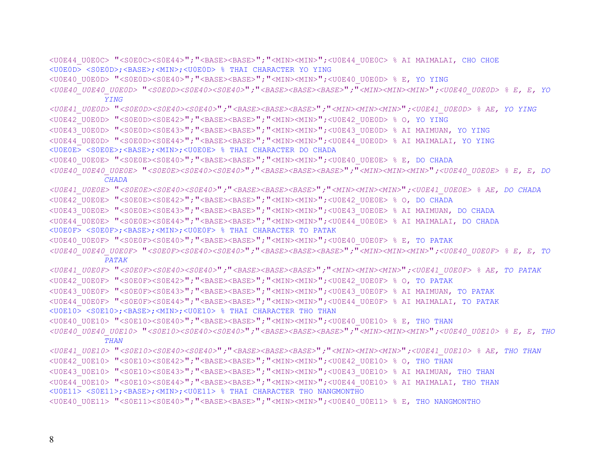<U0E44\_U0E0C> "<S0E0C><S0E44>";"<BASE><BASE>";"<MIN><MIN>";<U0E44\_U0E0C> % AI MAIMALAI, CHO CHOE <U0E0D> <S0E0D>;<BASE>;<MIN>;<U0E0D> % THAI CHARACTER YO YING <U0E40\_U0E0D> "<S0E0D><S0E40>";"<BASE><BASE>";"<MIN><MIN>";<U0E40\_U0E0D> % E, YO YING *<U0E40\_U0E40\_U0E0D>* "*<S0E0D><S0E40><S0E40>*"*;*"*<BASE><BASE><BASE>*"*;*"*<MIN><MIN><MIN>*"*;<U0E40\_U0E0D> % E, E, YO YING<U0E41\_U0E0D>* "*<S0E0D><S0E40><S0E40>*"*;*"*<BASE><BASE><BASE>*"*;*"*<MIN><MIN><MIN>*"*;<U0E41\_U0E0D> % AE, YO YING* <U0E42\_U0E0D> "<S0E0D><S0E42>";"<BASE><BASE>";"<MIN><MIN>";<U0E42\_U0E0D> % O, YO YING <U0E43\_U0E0D> "<S0E0D><S0E43>";"<BASE><BASE>";"<MIN><MIN>";<U0E43\_U0E0D> % AI MAIMUAN, YO YING <U0E44\_U0E0D> "<S0E0D><S0E44>";"<BASE><BASE>";"<MIN><MIN>";<U0E44\_U0E0D> % AI MAIMALAI, YO YING <U0E0E> <S0E0E>;<BASE>;<MIN>;<U0E0E> % THAI CHARACTER DO CHADA <U0E40\_U0E0E> "<S0E0E><S0E40>";"<BASE><BASE>";"<MIN><MIN>";<U0E40\_U0E0E> % E, DO CHADA *<U0E40\_U0E40\_U0E0E>* "*<S0E0E><S0E40><S0E40>*"*;*"*<BASE><BASE><BASE>*"*;*"*<MIN><MIN><MIN>*"*;<U0E40\_U0E0E> % E, E, DO CHADA<U0E41\_U0E0E>* "*<S0E0E><S0E40><S0E40>*"*;*"*<BASE><BASE><BASE>*"*;*"*<MIN><MIN><MIN>*"*;<U0E41\_U0E0E> % AE, DO CHADA* <U0E42\_U0E0E> "<S0E0E><S0E42>";"<BASE><BASE>";"<MIN><MIN>";<U0E42\_U0E0E> % O, DO CHADA <U0E43\_U0E0E> "<S0E0E><S0E43>";"<BASE><BASE>";"<MIN><MIN>";<U0E43\_U0E0E> % AI MAIMUAN, DO CHADA <U0E44\_U0E0E> "<S0E0E><S0E44>";"<BASE><BASE>";"<MIN><MIN>";<U0E44\_U0E0E> % AI MAIMALAI, DO CHADA <U0E0F> <S0E0F>;<BASE>;<MIN>;<U0E0F> % THAI CHARACTER TO PATAK <U0E40\_U0E0F> "<S0E0F><S0E40>";"<BASE><BASE>";"<MIN><MIN>";<U0E40\_U0E0F> % E, TO PATAK *<U0E40\_U0E40\_U0E0F>* "*<S0E0F><S0E40><S0E40>*"*;*"*<BASE><BASE><BASE>*"*;*"*<MIN><MIN><MIN>*"*;<U0E40\_U0E0F> % E, E, TO PATAK<U0E41\_U0E0F>* "*<S0E0F><S0E40><S0E40>*"*;*"*<BASE><BASE><BASE>*"*;*"*<MIN><MIN><MIN>*"*;<U0E41\_U0E0F> % AE, TO PATAK* <U0E42\_U0E0F> "<S0E0F><S0E42>";"<BASE><BASE>";"<MIN><MIN>";<U0E42\_U0E0F> % O, TO PATAK <U0E43\_U0E0F> "<S0E0F><S0E43>";"<BASE><BASE>";"<MIN><MIN>";<U0E43\_U0E0F> % AI MAIMUAN, TO PATAK <U0E44\_U0E0F> "<S0E0F><S0E44>";"<BASE><BASE>";"<MIN><MIN>";<U0E44\_U0E0F> % AI MAIMALAI, TO PATAK <U0E10> <S0E10>;<BASE>;<MIN>;<U0E10> % THAI CHARACTER THO THAN <U0E40 U0E10> "<S0E10><S0E40>"; "<BASE><BASE>"; "<MIN><MIN>";<U0E40 U0E10> % E, THO THAN *<U0E40\_U0E40\_U0E10>* "*<S0E10><S0E40><S0E40>*"*;*"*<BASE><BASE><BASE>*"*;*"*<MIN><MIN><MIN>*"*;<U0E40\_U0E10> % E, E, THO THAN<U0E41\_U0E10>* "*<S0E10><S0E40><S0E40>*"*;*"*<BASE><BASE><BASE>*"*;*"*<MIN><MIN><MIN>*"*;<U0E41\_U0E10> % AE, THO THAN* <U0E42 U0E10> "<S0E10><S0E42>"; "<BASE><BASE>"; "<MIN><MIN>";<U0E42 U0E10> % O, THO THAN <U0E43\_U0E10> "<S0E10><S0E43>";"<BASE><BASE>";"<MIN><MIN>";<U0E43\_U0E10> % AI MAIMUAN, THO THAN <U0E44\_U0E10> "<S0E10><S0E44>";"<BASE><BASE>";"<MIN><MIN>";<U0E44\_U0E10> % AI MAIMALAI, THO THAN <U0E11> <S0E11>;<BASE>;<MIN>;<U0E11> % THAI CHARACTER THO NANGMONTHO <U0E40\_U0E11> "<S0E11><S0E40>";"<BASE><BASE>";"<MIN><MIN>";<U0E40\_U0E11> % E, THO NANGMONTHO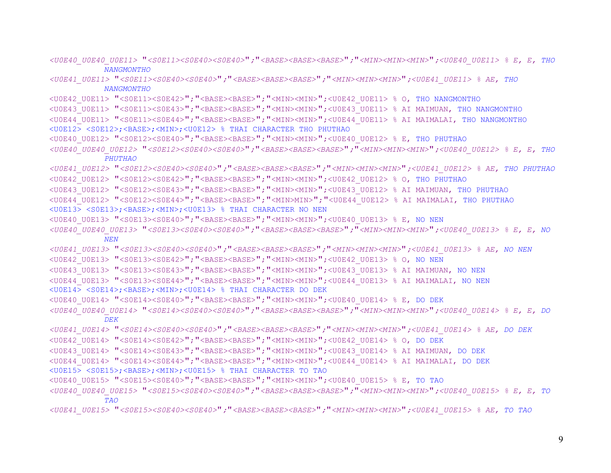*<U0E40\_U0E40\_U0E11>* "*<S0E11><S0E40><S0E40>*"*;*"*<BASE><BASE><BASE>*"*;*"*<MIN><MIN><MIN>*"*;<U0E40\_U0E11> % E, E, THO NANGMONTHO*

*<U0E41\_U0E11>* "*<S0E11><S0E40><S0E40>*"*;*"*<BASE><BASE><BASE>*"*;*"*<MIN><MIN><MIN>*"*;<U0E41\_U0E11> % AE, THO NANGMONTHO*

<U0E42\_U0E11> "<S0E11><S0E42>";"<BASE><BASE>";"<MIN><MIN>";<U0E42\_U0E11> % O, THO NANGMONTHO

- <U0E43\_U0E11> "<S0E11><S0E43>";"<BASE><BASE>";"<MIN><MIN>";<U0E43\_U0E11> % AI MAIMUAN, THO NANGMONTHO
- <U0E44\_U0E11> "<S0E11><S0E44>";"<BASE><BASE>";"<MIN><MIN>";<U0E44\_U0E11> % AI MAIMALAI, THO NANGMONTHO
- <U0E12> <S0E12>;<BASE>;<MIN>;<U0E12> % THAI CHARACTER THO PHUTHAO
- <U0E40\_U0E12> "<S0E12><S0E40>";"<BASE><BASE>";"<MIN><MIN>";<U0E40\_U0E12> % E, THO PHUTHAO

*<U0E40\_U0E40\_U0E12>* "*<S0E12><S0E40><S0E40>*"*;*"*<BASE><BASE><BASE>*"*;*"*<MIN><MIN><MIN>*"*;<U0E40\_U0E12> % E, E, THO PHUTHAO*

*<U0E41\_U0E12>* "*<S0E12><S0E40><S0E40>*"*;*"*<BASE><BASE><BASE>*"*;*"*<MIN><MIN><MIN>*"*;<U0E41\_U0E12> % AE, THO PHUTHAO* <U0E42\_U0E12> "<S0E12><S0E42>";"<BASE><BASE>";"<MIN><MIN>";<U0E42\_U0E12> % O, THO PHUTHAO

<U0E43\_U0E12> "<S0E12><S0E43>";"<BASE><BASE>";"<MIN><MIN>";<U0E43\_U0E12> % AI MAIMUAN, THO PHUTHAO

<U0E44\_U0E12> "<S0E12><S0E44>";"<BASE><BASE>";"<MIN>MIN>";"<U0E44\_U0E12> % AI MAIMALAI, THO PHUTHAO

<U0E13> <S0E13>;<BASE>;<MIN>;<U0E13> % THAI CHARACTER NO NEN

<U0E40 U0E13> "<S0E13><S0E40>"; "<BASE><BASE>"; "<MIN><MIN>";<U0E40 U0E13> % E, NO NEN

*<U0E40\_U0E40\_U0E13>* "*<S0E13><S0E40><S0E40>*"*;*"*<BASE><BASE><BASE>*"*;*"*<MIN><MIN><MIN>*"*;<U0E40\_U0E13> % E, E, NO NEN*

*<U0E41\_U0E13>* "*<S0E13><S0E40><S0E40>*"*;*"*<BASE><BASE><BASE>*"*;*"*<MIN><MIN><MIN>*"*;<U0E41\_U0E13> % AE, NO NEN* <U0E42\_U0E13> "<S0E13><S0E42>";"<BASE><BASE>";"<MIN><MIN>";<U0E42\_U0E13> % O, NO NEN

- <U0E43\_U0E13> "<S0E13><S0E43>";"<BASE><BASE>";"<MIN><MIN>";<U0E43\_U0E13> % AI MAIMUAN, NO NEN
- <U0E44\_U0E13> "<S0E13><S0E44>";"<BASE><BASE>";"<MIN><MIN>";<U0E44\_U0E13> % AI MAIMALAI, NO NEN

<U0E14> <S0E14>;<BASE>;<MIN>;<U0E14> % THAI CHARACTER DO DEK

<U0E40\_U0E14> "<S0E14><S0E40>";"<BASE><BASE>";"<MIN><MIN>";<U0E40\_U0E14> % E, DO DEK

*<U0E40\_U0E40\_U0E14>* "*<S0E14><S0E40><S0E40>*"*;*"*<BASE><BASE><BASE>*"*;*"*<MIN><MIN><MIN>*"*;<U0E40\_U0E14> % E, E, DO DEK*

*<U0E41\_U0E14>* "*<S0E14><S0E40><S0E40>*"*;*"*<BASE><BASE><BASE>*"*;*"*<MIN><MIN><MIN>*"*;<U0E41\_U0E14> % AE, DO DEK* <U0E42\_U0E14> "<S0E14><S0E42>";"<BASE><BASE>";"<MIN><MIN>";<U0E42\_U0E14> % O, DO DEK

<U0E43\_U0E14> "<S0E14><S0E43>";"<BASE><BASE>";"<MIN><MIN>";<U0E43\_U0E14> % AI MAIMUAN, DO DEK

<U0E44\_U0E14> "<S0E14><S0E44>";"<BASE><BASE>";"<MIN><MIN>";<U0E44\_U0E14> % AI MAIMALAI, DO DEK

<U0E15> <S0E15>;<BASE>;<MIN>;<U0E15> % THAI CHARACTER TO TAO

<U0E40 U0E15> "<S0E15><S0E40>"; "<BASE><BASE>"; "<MIN><MIN>";<U0E40 U0E15> % E, TO TAO

*<U0E40\_U0E40\_U0E15>* "*<S0E15><S0E40><S0E40>*"*;*"*<BASE><BASE><BASE>*"*;*"*<MIN><MIN><MIN>*"*;<U0E40\_U0E15> % E, E, TO TAO*

*<U0E41\_U0E15>* "*<S0E15><S0E40><S0E40>*"*;*"*<BASE><BASE><BASE>*"*;*"*<MIN><MIN><MIN>*"*;<U0E41\_U0E15> % AE, TO TAO*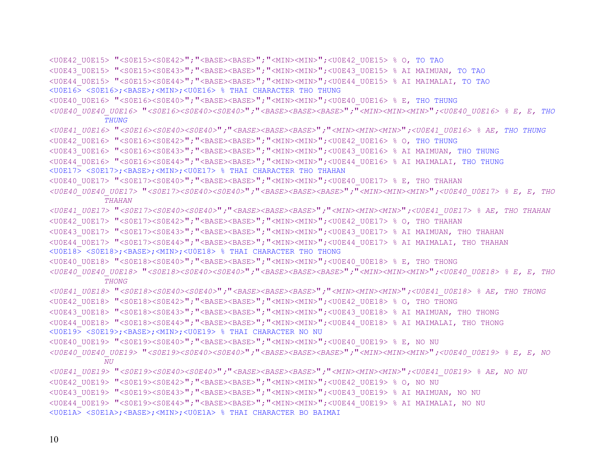```
<U0E42_U0E15> "<S0E15><S0E42>";"<BASE><BASE>";"<MIN><MIN>";<U0E42_U0E15> % O, TO TAO
<U0E43_U0E15> "<S0E15><S0E43>";"<BASE><BASE>";"<MIN><MIN>";<U0E43_U0E15> % AI MAIMUAN, TO TAO
<U0E44_U0E15> "<S0E15><S0E44>";"<BASE><BASE>";"<MIN><MIN>";<U0E44_U0E15> % AI MAIMALAI, TO TAO
<U0E16> <S0E16>;<BASE>;<MIN>;<U0E16> % THAI CHARACTER THO THUNG 
<U0E40 U0E16> "<S0E16><S0E40>"; "<BASE><BASE>"; "<MIN><MIN>";<U0E40 U0E16> % E, THO THUNG
<U0E40_U0E40_U0E16> "<S0E16><S0E40><S0E40>";"<BASE><BASE><BASE>";"<MIN><MIN><MIN>";<U0E40_U0E16> % E, E, THO 
           THUNG<U0E41_U0E16> "<S0E16><S0E40><S0E40>";"<BASE><BASE><BASE>";"<MIN><MIN><MIN>";<U0E41_U0E16> % AE, THO THUNG
<U0E42_U0E16> "<S0E16><S0E42>";"<BASE><BASE>";"<MIN><MIN>";<U0E42_U0E16> % O, THO THUNG
<U0E43_U0E16> "<S0E16><S0E43>";"<BASE><BASE>";"<MIN><MIN>";<U0E43_U0E16> % AI MAIMUAN, THO THUNG
<U0E44_U0E16> "<S0E16><S0E44>";"<BASE><BASE>";"<MIN><MIN>";<U0E44_U0E16> % AI MAIMALAI, THO THUNG 
<U0E17> <S0E17>;<BASE>;<MIN>;<U0E17> % THAI CHARACTER THO THAHAN 
<U0E40_U0E17> "<S0E17><S0E40>";"<BASE><BASE>";"<MIN><MIN>";<U0E40_U0E17> % E, THO THAHAN 
<U0E40_U0E40_U0E17> "<S0E17><S0E40><S0E40>";"<BASE><BASE><BASE>";"<MIN><MIN><MIN>";<U0E40_U0E17> % E, E, THO 
           THAHAN <U0E41_U0E17> "<S0E17><S0E40><S0E40>";"<BASE><BASE><BASE>";"<MIN><MIN><MIN>";<U0E41_U0E17> % AE, THO THAHAN 
<U0E42_U0E17> "<S0E17><S0E42>";"<BASE><BASE>";"<MIN><MIN>";<U0E42_U0E17> % O, THO THAHAN 
<U0E43_U0E17> "<S0E17><S0E43>";"<BASE><BASE>";"<MIN><MIN>";<U0E43_U0E17> % AI MAIMUAN, THO THAHAN 
<U0E44_U0E17> "<S0E17><S0E44>";"<BASE><BASE>";"<MIN><MIN>";<U0E44_U0E17> % AI MAIMALAI, THO THAHAN 
<U0E18> <S0E18>;<BASE>;<MIN>;<U0E18> % THAI CHARACTER THO THONG 
<U0E40_U0E18> "<S0E18><S0E40>";"<BASE><BASE>";"<MIN><MIN>";<U0E40_U0E18> % E, THO THONG 
<U0E40_U0E40_U0E18> "<S0E18><S0E40><S0E40>";"<BASE><BASE><BASE>";"<MIN><MIN><MIN>";<U0E40_U0E18> % E, E, THO 
           THONG <U0E41_U0E18> "<S0E18><S0E40><S0E40>";"<BASE><BASE><BASE>";"<MIN><MIN><MIN>";<U0E41_U0E18> % AE, THO THONG 
<U0E42_U0E18> "<S0E18><S0E42>";"<BASE><BASE>";"<MIN><MIN>";<U0E42_U0E18> % O, THO THONG 
<U0E43_U0E18> "<S0E18><S0E43>";"<BASE><BASE>";"<MIN><MIN>";<U0E43_U0E18> % AI MAIMUAN, THO THONG 
<U0E44_U0E18> "<S0E18><S0E44>";"<BASE><BASE>";"<MIN><MIN>";<U0E44_U0E18> % AI MAIMALAI, THO THONG 
<U0E19> <S0E19>;<BASE>;<MIN>;<U0E19> % THAI CHARACTER NO NU 
<U0E40 U0E19> "<S0E19><S0E40>"; "<BASE><BASE>"; "<MIN><MIN>";<U0E40 U0E19> % E, NO NU
<U0E40_U0E40_U0E19> "<S0E19><S0E40><S0E40>";"<BASE><BASE><BASE>";"<MIN><MIN><MIN>";<U0E40_U0E19> % E, E, NO 
           NITT
<U0E41_U0E19> "<S0E19><S0E40><S0E40>";"<BASE><BASE><BASE>";"<MIN><MIN><MIN>";<U0E41_U0E19> % AE, NO NU 
<U0E42_U0E19> "<S0E19><S0E42>";"<BASE><BASE>";"<MIN><MIN>";<U0E42_U0E19> % O, NO NU 
<U0E43_U0E19> "<S0E19><S0E43>";"<BASE><BASE>";"<MIN><MIN>";<U0E43_U0E19> % AI MAIMUAN, NO NU 
<U0E44_U0E19> "<S0E19><S0E44>";"<BASE><BASE>";"<MIN><MIN>";<U0E44_U0E19> % AI MAIMALAI, NO NU 
<U0E1A> <S0E1A>;<BASE>;<MIN>;<U0E1A> % THAI CHARACTER BO BAIMAI
```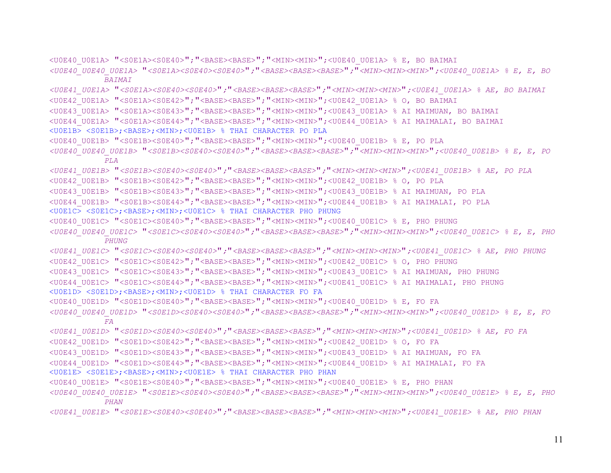<U0E40\_U0E1A> "<S0E1A><S0E40>";"<BASE><BASE>";"<MIN><MIN>";<U0E40\_U0E1A> % E, BO BAIMAI *<U0E40\_U0E40\_U0E1A>* "*<S0E1A><S0E40><S0E40>*"*;*"*<BASE><BASE><BASE>*"*;*"*<MIN><MIN><MIN>*"*;<U0E40\_U0E1A> % E, E, BO BAIMAI <U0E41\_U0E1A>* "*<S0E1A><S0E40><S0E40>*"*;*"*<BASE><BASE><BASE>*"*;*"*<MIN><MIN><MIN>*"*;<U0E41\_U0E1A> % AE, BO BAIMAI*  <U0E42\_U0E1A> "<S0E1A><S0E42>";"<BASE><BASE>";"<MIN><MIN>";<U0E42\_U0E1A> % O, BO BAIMAI <U0E43\_U0E1A> "<S0E1A><S0E43>";"<BASE><BASE>";"<MIN><MIN>";<U0E43\_U0E1A> % AI MAIMUAN, BO BAIMAI <U0E44\_U0E1A> "<S0E1A><S0E44>";"<BASE><BASE>";"<MIN><MIN>";<U0E44\_U0E1A> % AI MAIMALAI, BO BAIMAI <U0E1B> <S0E1B>;<BASE>;<MIN>;<U0E1B> % THAI CHARACTER PO PLA <U0E40 U0E1B> "<S0E1B><S0E40>"; "<BASE><BASE>"; "<MIN><MIN>";<U0E40 U0E1B> % E, PO PLA *<U0E40\_U0E40\_U0E1B>* "*<S0E1B><S0E40><S0E40>*"*;*"*<BASE><BASE><BASE>*"*;*"*<MIN><MIN><MIN>*"*;<U0E40\_U0E1B> % E, E, PO PLA <U0E41\_U0E1B>* "*<S0E1B><S0E40><S0E40>*"*;*"*<BASE><BASE><BASE>*"*;*"*<MIN><MIN><MIN>*"*;<U0E41\_U0E1B> % AE, PO PLA*  <U0E42\_U0E1B> "<S0E1B><S0E42>";"<BASE><BASE>";"<MIN><MIN>";<U0E42\_U0E1B> % O, PO PLA <U0E43\_U0E1B> "<S0E1B><S0E43>";"<BASE><BASE>";"<MIN><MIN>";<U0E43\_U0E1B> % AI MAIMUAN, PO PLA <U0E44\_U0E1B> "<S0E1B><S0E44>";"<BASE><BASE>";"<MIN><MIN>";<U0E44\_U0E1B> % AI MAIMALAI, PO PLA <U0E1C> <S0E1C>;<BASE>;<MIN>;<U0E1C> % THAI CHARACTER PHO PHUNG <U0E40\_U0E1C> "<S0E1C><S0E40>";"<BASE><BASE>";"<MIN><MIN>";<U0E40\_U0E1C> % E, PHO PHUNG *<U0E40\_U0E40\_U0E1C>* "*<S0E1C><S0E40><S0E40>*"*;*"*<BASE><BASE><BASE>*"*;*"*<MIN><MIN><MIN>*"*;<U0E40\_U0E1C> % E, E, PHO PHUNG <U0E41\_U0E1C>* "*<S0E1C><S0E40><S0E40>*"*;*"*<BASE><BASE><BASE>*"*;*"*<MIN><MIN><MIN>*"*;<U0E41\_U0E1C> % AE, PHO PHUNG*  <U0E42\_U0E1C> "<S0E1C><S0E42>";"<BASE><BASE>";"<MIN><MIN>";<U0E42\_U0E1C> % O, PHO PHUNG <U0E43\_U0E1C> "<S0E1C><S0E43>";"<BASE><BASE>";"<MIN><MIN>";<U0E43\_U0E1C> % AI MAIMUAN, PHO PHUNG <U0E44\_U0E1C> "<S0E1C><S0E44>";"<BASE><BASE>";"<MIN><MIN>";<U0E41\_U0E1C> % AI MAIMALAI, PHO PHUNG <U0E1D> <S0E1D>;<BASE>;<MIN>;<U0E1D> % THAI CHARACTER FO FA <U0E40 U0E1D> "<S0E1D><S0E40>"; "<BASE><BASE>"; "<MIN><MIN>";<U0E40 U0E1D> % E, FO FA *<U0E40\_U0E40\_U0E1D>* "*<S0E1D><S0E40><S0E40>*"*;*"*<BASE><BASE><BASE>*"*;*"*<MIN><MIN><MIN>*"*;<U0E40\_U0E1D> % E, E, FO FA <U0E41\_U0E1D>* "*<S0E1D><S0E40><S0E40>*"*;*"*<BASE><BASE><BASE>*"*;*"*<MIN><MIN><MIN>*"*;<U0E41\_U0E1D> % AE, FO FA*  <U0E42\_U0E1D> "<S0E1D><S0E42>";"<BASE><BASE>";"<MIN><MIN>";<U0E42\_U0E1D> % O, FO FA <U0E43\_U0E1D> "<S0E1D><S0E43>";"<BASE><BASE>";"<MIN><MIN>";<U0E43\_U0E1D> % AI MAIMUAN, FO FA <U0E44\_U0E1D> "<S0E1D><S0E44>";"<BASE><BASE>";"<MIN><MIN>";<U0E44\_U0E1D> % AI MAIMALAI, FO FA <U0E1E> <S0E1E>;<BASE>;<MIN>;<U0E1E> % THAI CHARACTER PHO PHAN <U0E40 U0E1E> "<S0E1E><S0E40>"; "<BASE><BASE>"; "<MIN><MIN>";<U0E40 U0E1E> % E, PHO PHAN *<U0E40\_U0E40\_U0E1E>* "*<S0E1E><S0E40><S0E40>*"*;*"*<BASE><BASE><BASE>*"*;*"*<MIN><MIN><MIN>*"*;<U0E40\_U0E1E> % E, E, PHO PHAN <U0E41\_U0E1E>* "*<S0E1E><S0E40><S0E40>*"*;*"*<BASE><BASE><BASE>*"*;*"*<MIN><MIN><MIN>*"*;<U0E41\_U0E1E> % AE, PHO PHAN*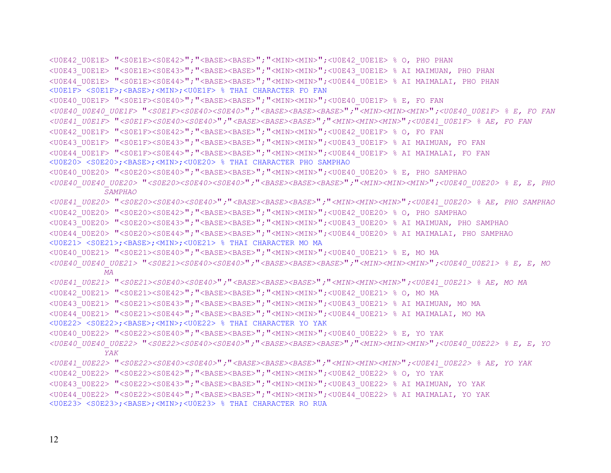```
<U0E42_U0E1E> "<S0E1E><S0E42>";"<BASE><BASE>";"<MIN><MIN>";<U0E42_U0E1E> % O, PHO PHAN 
<U0E43_U0E1E> "<S0E1E><S0E43>";"<BASE><BASE>";"<MIN><MIN>";<U0E43_U0E1E> % AI MAIMUAN, PHO PHAN 
<U0E44_U0E1E> "<S0E1E><S0E44>";"<BASE><BASE>";"<MIN><MIN>";<U0E44_U0E1E> % AI MAIMALAI, PHO PHAN 
<U0E1F> <S0E1F>;<BASE>;<MIN>;<U0E1F> % THAI CHARACTER FO FAN 
<U0E40_U0E1F> "<S0E1F><S0E40>";"<BASE><BASE>";"<MIN><MIN>";<U0E40_U0E1F> % E, FO FAN 
<U0E40_U0E40_U0E1F> "<S0E1F><S0E40><S0E40>";"<BASE><BASE><BASE>";"<MIN><MIN><MIN>";<U0E40_U0E1F> % E, FO FAN 
<U0E41_U0E1F> "<S0E1F><S0E40><S0E40>";"<BASE><BASE><BASE>";"<MIN><MIN><MIN>";<U0E41_U0E1F> % AE, FO FAN 
<U0E42_U0E1F> "<S0E1F><S0E42>";"<BASE><BASE>";"<MIN><MIN>";<U0E42_U0E1F> % O, FO FAN 
<U0E43_U0E1F> "<S0E1F><S0E43>";"<BASE><BASE>";"<MIN><MIN>";<U0E43_U0E1F> % AI MAIMUAN, FO FAN 
<U0E44_U0E1F> "<S0E1F><S0E44>";"<BASE><BASE>";"<MIN><MIN>";<U0E44_U0E1F> % AI MAIMALAI, FO FAN 
<U0E20> <S0E20>;<BASE>;<MIN>;<U0E20> % THAI CHARACTER PHO SAMPHAO 
<U0E40_U0E20> "<S0E20><S0E40>";"<BASE><BASE>";"<MIN><MIN>";<U0E40_U0E20> % E, PHO SAMPHAO 
<U0E40_U0E40_U0E20> "<S0E20><S0E40><S0E40>";"<BASE><BASE><BASE>";"<MIN><MIN><MIN>";<U0E40_U0E20> % E, E, PHO 
           SAMPHAO <U0E41_U0E20> "<S0E20><S0E40><S0E40>";"<BASE><BASE><BASE>";"<MIN><MIN><MIN>";<U0E41_U0E20> % AE, PHO SAMPHAO 
<U0E42_U0E20> "<S0E20><S0E42>";"<BASE><BASE>";"<MIN><MIN>";<U0E42_U0E20> % O, PHO SAMPHAO 
<U0E43_U0E20> "<S0E20><S0E43>";"<BASE><BASE>";"<MIN><MIN>";<U0E43_U0E20> % AI MAIMUAN, PHO SAMPHAO 
<U0E44_U0E20> "<S0E20><S0E44>";"<BASE><BASE>";"<MIN><MIN>";<U0E44_U0E20> % AI MAIMALAI, PHO SAMPHAO 
<U0E21> <S0E21>;<BASE>;<MIN>;<U0E21> % THAI CHARACTER MO MA 
<U0E40 U0E21> "<S0E21><S0E40>"; "<BASE><BASE>"; "<MIN><MIN>";<U0E40 U0E21> % E, MO MA
<U0E40_U0E40_U0E21> "<S0E21><S0E40><S0E40>";"<BASE><BASE><BASE>";"<MIN><MIN><MIN>";<U0E40_U0E21> % E, E, MO 
           MA <U0E41_U0E21> "<S0E21><S0E40><S0E40>";"<BASE><BASE><BASE>";"<MIN><MIN><MIN>";<U0E41_U0E21> % AE, MO MA 
<U0E42_U0E21> "<S0E21><S0E42>";"<BASE><BASE>";"<MIN><MIN>";<U0E42_U0E21> % O, MO MA 
<U0E43_U0E21> "<S0E21><S0E43>";"<BASE><BASE>";"<MIN><MIN>";<U0E43_U0E21> % AI MAIMUAN, MO MA 
<U0E44_U0E21> "<S0E21><S0E44>";"<BASE><BASE>";"<MIN><MIN>";<U0E44_U0E21> % AI MAIMALAI, MO MA 
<U0E22> <S0E22>;<BASE>;<MIN>;<U0E22> % THAI CHARACTER YO YAK 
<U0E40 U0E22> "<S0E22><S0E40>"; "<BASE><BASE>"; "<MIN><MIN>";<U0E40 U0E22> % E, YO YAK
<U0E40_U0E40_U0E22> "<S0E22><S0E40><S0E40>";"<BASE><BASE><BASE>";"<MIN><MIN><MIN>";<U0E40_U0E22> % E, E, YO 
           YAK <U0E41_U0E22> "<S0E22><S0E40><S0E40>";"<BASE><BASE><BASE>";"<MIN><MIN><MIN>";<U0E41_U0E22> % AE, YO YAK 
<U0E42_U0E22> "<S0E22><S0E42>";"<BASE><BASE>";"<MIN><MIN>";<U0E42_U0E22> % O, YO YAK 
<U0E43_U0E22> "<S0E22><S0E43>";"<BASE><BASE>";"<MIN><MIN>";<U0E43_U0E22> % AI MAIMUAN, YO YAK 
<U0E44_U0E22> "<S0E22><S0E44>";"<BASE><BASE>";"<MIN><MIN>";<U0E44_U0E22> % AI MAIMALAI, YO YAK 
<U0E23> <S0E23>;<BASE>;<MIN>;<U0E23> % THAI CHARACTER RO RUA
```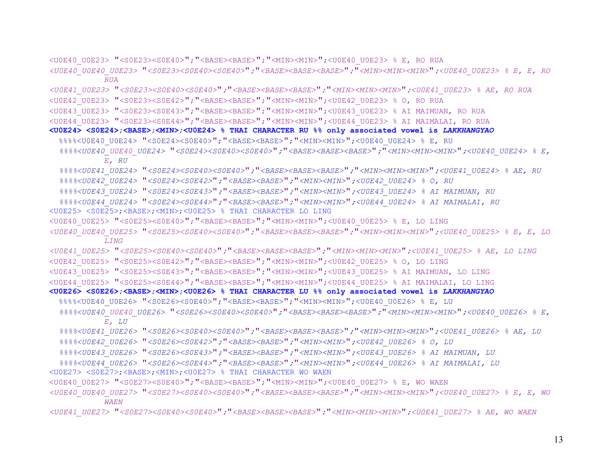<U0E40 U0E23> "<S0E23><S0E40>"; "<BASE><BASE>"; "<MIN><MIN>";<U0E40 U0E23> % E, RO RUA *<U0E40\_U0E40\_U0E23>* "*<S0E23><S0E40><S0E40>*"*;*"*<BASE><BASE><BASE>*"*;*"*<MIN><MIN><MIN>*"*;<U0E40\_U0E23> % E, E, RO*   $RUA$ *<U0E41\_U0E23>* "*<S0E23><S0E40><S0E40>*"*;*"*<BASE><BASE><BASE>*"*;*"*<MIN><MIN><MIN>*"*;<U0E41\_U0E23> % AE, RO RUA*  <U0E42\_U0E23> "<S0E23><S0E42>";"<BASE><BASE>";"<MIN><MIN>";<U0E42\_U0E23> % O, RO RUA <U0E43\_U0E23> "<S0E23><S0E43>";"<BASE><BASE>";"<MIN><MIN>";<U0E43\_U0E23> % AI MAIMUAN, RO RUA <U0E44\_U0E23> "<S0E23><S0E44>";"<BASE><BASE>";"<MIN><MIN>";<U0E44\_U0E23> % AI MAIMALAI, RO RUA **<U0E24> <S0E24>;<BASE>;<MIN>;<U0E24> % THAI CHARACTER RU %% only associated vowel is** *LAKKHANGYAO* %%%%<U0E40\_U0E24> "<S0E24><S0E40>"; "<BASE><BASE>"; "<MIN><MIN>";<U0E40\_U0E24> % E, RU  *%%%%<U0E40\_U0E40\_U0E24>* "*<S0E24><S0E40><S0E40>*"*;*"*<BASE><BASE><BASE>*"*;*"*<MIN><MIN><MIN>*"*;<U0E40\_U0E24> % E, E, RU %%%%<U0E41\_U0E24>* "*<S0E24><S0E40><S0E40>*"*;*"*<BASE><BASE><BASE>*"*;*"*<MIN><MIN><MIN>*"*;<U0E41\_U0E24> % AE, RU %%%%<U0E42\_U0E24>* "*<S0E24><S0E42>*"*;*"*<BASE><BASE>*"*;*"*<MIN><MIN>*"*;<U0E42\_U0E24> % O, RU %%%%<U0E43\_U0E24>* "*<S0E24><S0E43>*"*;*"*<BASE><BASE>*"*;*"*<MIN><MIN>*"*;<U0E43\_U0E24> % AI MAIMUAN, RU %%%%<U0E44\_U0E24>* "*<S0E24><S0E44>*"*;*"*<BASE><BASE>*"*;*"*<MIN><MIN>*"*;<U0E44\_U0E24> % AI MAIMALAI, RU*  <U0E25> <S0E25>;<BASE>;<MIN>;<U0E25> % THAI CHARACTER LO LING <U0E40\_U0E25> "<S0E25><S0E40>";"<BASE><BASE>";"<MIN><MIN>";<U0E40\_U0E25> % E, LO LING *<U0E40\_U0E40\_U0E25>* "*<S0E25><S0E40><S0E40>*"*;*"*<BASE><BASE><BASE>*"*;*"*<MIN><MIN><MIN>*"*;<U0E40\_U0E25> % E, E, LO LING <U0E41\_U0E25>* "*<S0E25><S0E40><S0E40>*"*;*"*<BASE><BASE><BASE>*"*;*"*<MIN><MIN><MIN>*"*;<U0E41\_U0E25> % AE, LO LING*  <U0E42\_U0E25> "<S0E25><S0E42>";"<BASE><BASE>";"<MIN><MIN>";<U0E42\_U0E25> % O, LO LING <U0E43\_U0E25> "<S0E25><S0E43>";"<BASE><BASE>";"<MIN><MIN>";<U0E43\_U0E25> % AI MAIMUAN, LO LING <U0E44\_U0E25> "<S0E25><S0E44>";"<BASE><BASE>";"<MIN><MIN>";<U0E44\_U0E25> % AI MAIMALAI, LO LING **<U0E26> <S0E26>;<BASE>;<MIN>;<U0E26> % THAI CHARACTER LU %% only associated vowel is** *LAKKHANGYAO* %%%%<U0E40\_U0E26> "<S0E26><S0E40>";"<BASE><BASE>";"<MIN><MIN>";<U0E40\_U0E26> % E, LU  *%%%%<U0E40\_U0E40\_U0E26>* "*<S0E26><S0E40><S0E40>*"*;*"*<BASE><BASE><BASE>*"*;*"*<MIN><MIN><MIN>*"*;<U0E40\_U0E26> % E, E, LU %%%%<U0E41\_U0E26>* "*<S0E26><S0E40><S0E40>*"*;*"*<BASE><BASE><BASE>*"*;*"*<MIN><MIN><MIN>*"*;<U0E41\_U0E26> % AE, LU %%%%<U0E42\_U0E26>* "*<S0E26><S0E42>*"*;*"*<BASE><BASE>*"*;*"*<MIN><MIN>*"*;<U0E42\_U0E26> % O, LU %%%%<U0E43\_U0E26>* "*<S0E26><S0E43>*"*;*"*<BASE><BASE>*"*;*"*<MIN><MIN>*"*;<U0E43\_U0E26> % AI MAIMUAN, LU %%%%<U0E44\_U0E26>* "*<S0E26><S0E44>*"*;*"*<BASE><BASE>*"*;*"*<MIN><MIN>*"*;<U0E44\_U0E26> % AI MAIMALAI, LU*  <U0E27> <S0E27>;<BASE>;<MIN>;<U0E27> % THAI CHARACTER WO WAEN <U0E40 U0E27> "<S0E27><S0E40>";"<BASE><BASE>";"<MIN><MIN>";<U0E40 U0E27> % E, WO WAEN *<U0E40\_U0E40\_U0E27>* "*<S0E27><S0E40><S0E40>*"*;*"*<BASE><BASE><BASE>*"*;*"*<MIN><MIN><MIN>*"*;<U0E40\_U0E27> % E, E, WO WAEN <U0E41\_U0E27>* "*<S0E27><S0E40><S0E40>*"*;*"*<BASE><BASE><BASE>*"*;*"*<MIN><MIN><MIN>*"*;<U0E41\_U0E27> % AE, WO WAEN*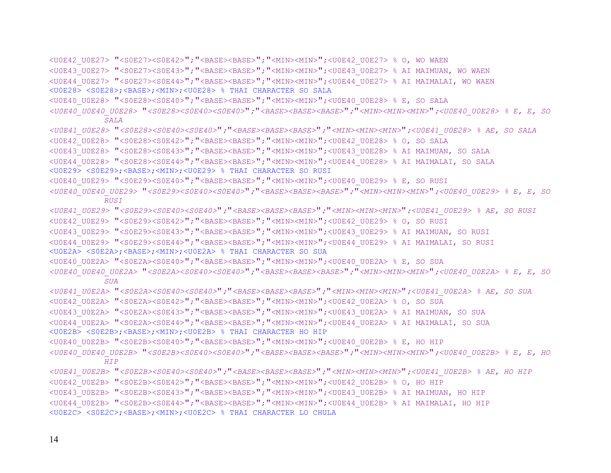```
<U0E42 U0E27> "<S0E27><S0E42>"; "<BASE><BASE>"; "<MIN><MIN>";<U0E42 U0E27> % O, WO WAEN
<U0E43_U0E27> "<S0E27><S0E43>";"<BASE><BASE>";"<MIN><MIN>";<U0E43_U0E27> % AI MAIMUAN, WO WAEN 
<U0E44_U0E27> "<S0E27><S0E44>";"<BASE><BASE>";"<MIN><MIN>";<U0E44_U0E27> % AI MAIMALAI, WO WAEN 
<U0E28> <S0E28>;<BASE>;<MIN>;<U0E28> % THAI CHARACTER SO SALA 
<U0E40 U0E28> "<S0E28><S0E40>"; "<BASE><BASE>"; "<MIN><MIN>";<U0E40 U0E28> % E, SO SALA
<U0E40_U0E40_U0E28> "<S0E28><S0E40><S0E40>";"<BASE><BASE><BASE>";"<MIN><MIN><MIN>";<U0E40_U0E28> % E, E, SO 
           SALA <U0E41_U0E28> "<S0E28><S0E40><S0E40>";"<BASE><BASE><BASE>";"<MIN><MIN><MIN>";<U0E41_U0E28> % AE, SO SALA 
<U0E42_U0E28> "<S0E28><S0E42>";"<BASE><BASE>";"<MIN><MIN>";<U0E42_U0E28> % O, SO SALA 
<U0E43_U0E28> "<S0E28><S0E43>";"<BASE><BASE>";"<MIN><MIN>";<U0E43_U0E28> % AI MAIMUAN, SO SALA 
<U0E44_U0E28> "<S0E28><S0E44>";"<BASE><BASE>";"<MIN><MIN>";<U0E44_U0E28> % AI MAIMALAI, SO SALA 
<U0E29> <S0E29>;<BASE>;<MIN>;<U0E29> % THAI CHARACTER SO RUSI 
<U0E40 U0E29> "<S0E29><S0E40>"; "<BASE><BASE>"; "<MIN><MIN>";<U0E40 U0E29> % E, SO RUSI
<U0E40_U0E40_U0E29> "<S0E29><S0E40><S0E40>";"<BASE><BASE><BASE>";"<MIN><MIN><MIN>";<U0E40_U0E29> % E, E, SO 
           RUSI <U0E41_U0E29> "<S0E29><S0E40><S0E40>";"<BASE><BASE><BASE>";"<MIN><MIN><MIN>";<U0E41_U0E29> % AE, SO RUSI 
<U0E42_U0E29> "<S0E29><S0E42>";"<BASE><BASE>";"<MIN><MIN>";<U0E42_U0E29> % O, SO RUSI 
<U0E43_U0E29> "<S0E29><S0E43>";"<BASE><BASE>";"<MIN><MIN>";<U0E43_U0E29> % AI MAIMUAN, SO RUSI 
<U0E44_U0E29> "<S0E29><S0E44>";"<BASE><BASE>";"<MIN><MIN>";<U0E44_U0E29> % AI MAIMALAI, SO RUSI 
<U0E2A> <S0E2A>;<BASE>;<MIN>;<U0E2A> % THAI CHARACTER SO SUA 
<U0E40_U0E2A> "<S0E2A><S0E40>";"<BASE><BASE>";"<MIN><MIN>";<U0E40_U0E2A> % E, SO SUA 
<U0E40_U0E40_U0E2A> "<S0E2A><S0E40><S0E40>";"<BASE><BASE><BASE>";"<MIN><MIN><MIN>";<U0E40_U0E2A> % E, E, SO 
           SUA <U0E41_U0E2A> "<S0E2A><S0E40><S0E40>";"<BASE><BASE><BASE>";"<MIN><MIN><MIN>";<U0E41_U0E2A> % AE, SO SUA 
<U0E42 U0E2A> "<S0E2A><S0E42>"; "<BASE><BASE>"; "<MIN><MIN>";<U0E42 U0E2A> % O, SO SUA
<U0E43_U0E2A> "<S0E2A><S0E43>";"<BASE><BASE>";"<MIN><MIN>";<U0E43_U0E2A> % AI MAIMUAN, SO SUA 
<U0E44_U0E2A> "<S0E2A><S0E44>";"<BASE><BASE>";"<MIN><MIN>";<U0E44_U0E2A> % AI MAIMALAI, SO SUA 
<U0E2B> <S0E2B>;<BASE>;<MIN>;<U0E2B> % THAI CHARACTER HO HIP 
<U0E40 U0E2B> "<S0E2B><S0E40>"; "<BASE><BASE>"; "<MIN><MIN>";<U0E40 U0E2B> % E, HO HIP
<U0E40_U0E40_U0E2B> "<S0E2B><S0E40><S0E40>";"<BASE><BASE><BASE>";"<MIN><MIN><MIN>";<U0E40_U0E2B> % E, E, HO 
           HIP <U0E41_U0E2B> "<S0E2B><S0E40><S0E40>";"<BASE><BASE><BASE>";"<MIN><MIN><MIN>";<U0E41_U0E2B> % AE, HO HIP 
<U0E42_U0E2B> "<S0E2B><S0E42>";"<BASE><BASE>";"<MIN><MIN>";<U0E42_U0E2B> % O, HO HIP 
<U0E43_U0E2B> "<S0E2B><S0E43>";"<BASE><BASE>";"<MIN><MIN>";<U0E43_U0E2B> % AI MAIMUAN, HO HIP 
<U0E44_U0E2B> "<S0E2B><S0E44>";"<BASE><BASE>";"<MIN><MIN>";<U0E44_U0E2B> % AI MAIMALAI, HO HIP 
<U0E2C> <S0E2C>;<BASE>;<MIN>;<U0E2C> % THAI CHARACTER LO CHULA
```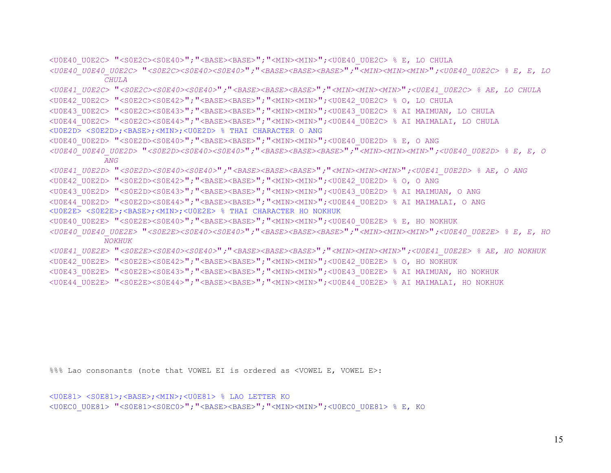<U0E40\_U0E2C> "<S0E2C><S0E40>";"<BASE><BASE>";"<MIN><MIN>";<U0E40\_U0E2C> % E, LO CHULA *<U0E40\_U0E40\_U0E2C>* "*<S0E2C><S0E40><S0E40>*"*;*"*<BASE><BASE><BASE>*"*;*"*<MIN><MIN><MIN>*"*;<U0E40\_U0E2C> % E, E, LO CHULA <U0E41\_U0E2C>* "*<S0E2C><S0E40><S0E40>*"*;*"*<BASE><BASE><BASE>*"*;*"*<MIN><MIN><MIN>*"*;<U0E41\_U0E2C> % AE, LO CHULA*  <U0E42\_U0E2C> "<S0E2C><S0E42>";"<BASE><BASE>";"<MIN><MIN>";<U0E42\_U0E2C> % O, LO CHULA <U0E43\_U0E2C> "<S0E2C><S0E43>";"<BASE><BASE>";"<MIN><MIN>";<U0E43\_U0E2C> % AI MAIMUAN, LO CHULA <U0E44\_U0E2C> "<S0E2C><S0E44>";"<BASE><BASE>";"<MIN><MIN>";<U0E44\_U0E2C> % AI MAIMALAI, LO CHULA <U0E2D> <S0E2D>;<BASE>;<MIN>;<U0E2D> % THAI CHARACTER O ANG <U0E40\_U0E2D> "<S0E2D><S0E40>";"<BASE><BASE>";"<MIN><MIN>";<U0E40\_U0E2D> % E, O ANG *<U0E40\_U0E40\_U0E2D>* "*<S0E2D><S0E40><S0E40>*"*;*"*<BASE><BASE><BASE>*"*;*"*<MIN><MIN><MIN>*"*;<U0E40\_U0E2D> % E, E, O ANG <U0E41\_U0E2D>* "*<S0E2D><S0E40><S0E40>*"*;*"*<BASE><BASE><BASE>*"*;*"*<MIN><MIN><MIN>*"*;<U0E41\_U0E2D> % AE, O ANG*  <U0E42\_U0E2D> "<S0E2D><S0E42>";"<BASE><BASE>";"<MIN><MIN>";<U0E42\_U0E2D> % O, O ANG <U0E43\_U0E2D> "<S0E2D><S0E43>";"<BASE><BASE>";"<MIN><MIN>";<U0E43\_U0E2D> % AI MAIMUAN, O ANG <U0E44\_U0E2D> "<S0E2D><S0E44>";"<BASE><BASE>";"<MIN><MIN>";<U0E44\_U0E2D> % AI MAIMALAI, O ANG <U0E2E> <S0E2E>;<BASE>;<MIN>;<U0E2E> % THAI CHARACTER HO NOKHUK <U0E40\_U0E2E> "<S0E2E><S0E40>";"<BASE><BASE>";"<MIN><MIN>";<U0E40\_U0E2E> % E, HO NOKHUK *<U0E40\_U0E40\_U0E2E>* "*<S0E2E><S0E40><S0E40>*"*;*"*<BASE><BASE><BASE>*"*;*"*<MIN><MIN><MIN>*"*;<U0E40\_U0E2E> % E, E, HO NOKHUK <U0E41\_U0E2E>* "*<S0E2E><S0E40><S0E40>*"*;*"*<BASE><BASE><BASE>*"*;*"*<MIN><MIN><MIN>*"*;<U0E41\_U0E2E> % AE, HO NOKHUK*  <U0E42\_U0E2E> "<S0E2E><S0E42>";"<BASE><BASE>";"<MIN><MIN>";<U0E42\_U0E2E> % O, HO NOKHUK <U0E43\_U0E2E> "<S0E2E><S0E43>";"<BASE><BASE>";"<MIN><MIN>";<U0E43\_U0E2E> % AI MAIMUAN, HO NOKHUK <U0E44\_U0E2E> "<S0E2E><S0E44>";"<BASE><BASE>";"<MIN><MIN>";<U0E44\_U0E2E> % AI MAIMALAI, HO NOKHUK

%%% Lao consonants (note that VOWEL EI is ordered as <VOWEL E, VOWEL E>:

```
<U0E81> <S0E81>;<BASE>;<MIN>;<U0E81> % LAO LETTER KO 
<U0EC0_U0E81> "<S0E81><S0EC0>";"<BASE><BASE>";"<MIN><MIN>";<U0EC0_U0E81> % E, KO
```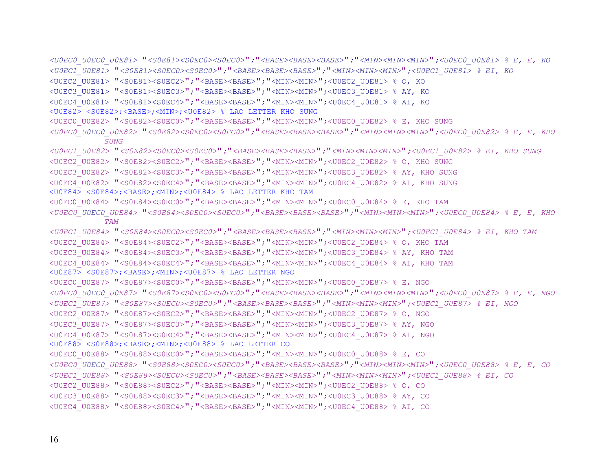*<U0EC0\_U0EC0\_U0E81>* "*<S0E81><S0EC0><S0EC0>*"*;*"*<BASE><BASE><BASE>*"*;*"*<MIN><MIN><MIN>*"*;<U0EC0\_U0E81> % E, E, KO <U0EC1\_U0E81>* "*<S0E81><S0EC0><S0EC0>*"*;*"*<BASE><BASE><BASE>*"*;*"*<MIN><MIN><MIN>*"*;<U0EC1\_U0E81> % EI, KO*  <U0EC2\_U0E81> "<S0E81><S0EC2>";"<BASE><BASE>";"<MIN><MIN>";<U0EC2\_U0E81> % O, KO <U0EC3\_U0E81> "<S0E81><S0EC3>";"<BASE><BASE>";"<MIN><MIN>";<U0EC3\_U0E81> % AY, KO <U0EC4\_U0E81> "<S0E81><S0EC4>";"<BASE><BASE>";"<MIN><MIN>";<U0EC4\_U0E81> % AI, KO <U0E82> <S0E82>;<BASE>;<MIN>;<U0E82> % LAO LETTER KHO SUNG <U0EC0\_U0E82> "<S0E82><S0EC0>";"<BASE><BASE>";"<MIN><MIN>";<U0EC0\_U0E82> % E, KHO SUNG *<U0EC0\_U0EC0\_U0E82>* "*<S0E82><S0EC0><S0EC0>*"*;*"*<BASE><BASE><BASE>*"*;*"*<MIN><MIN><MIN>*"*;<U0EC0\_U0E82> % E, E, KHO SUNG <U0EC1\_U0E82>* "*<S0E82><S0EC0><S0EC0>*"*;*"*<BASE><BASE><BASE>*"*;*"*<MIN><MIN><MIN>*"*;<U0EC1\_U0E82> % EI, KHO SUNG*  <U0EC2\_U0E82> "<S0E82><S0EC2>";"<BASE><BASE>";"<MIN><MIN>";<U0EC2\_U0E82> % O, KHO SUNG <U0EC3\_U0E82> "<S0E82><S0EC3>";"<BASE><BASE>";"<MIN><MIN>";<U0EC3\_U0E82> % AY, KHO SUNG <U0EC4\_U0E82> "<S0E82><S0EC4>";"<BASE><BASE>";"<MIN><MIN>";<U0EC4\_U0E82> % AI, KHO SUNG <U0E84> <S0E84>;<BASE>;<MIN>;<U0E84> % LAO LETTER KHO TAM <U0EC0 U0E84> "<S0E84><S0EC0>"; "<BASE><BASE>"; "<MIN><MIN>";<U0EC0 U0E84> % E, KHO TAM *<U0EC0\_U0EC0\_U0E84>* "*<S0E84><S0EC0><S0EC0>*"*;*"*<BASE><BASE><BASE>*"*;*"*<MIN><MIN><MIN>*"*;<U0EC0\_U0E84> % E, E, KHO TAM <U0EC1\_U0E84>* "*<S0E84><S0EC0><S0EC0>*"*;*"*<BASE><BASE><BASE>*"*;*"*<MIN><MIN><MIN>*"*;<U0EC1\_U0E84> % EI, KHO TAM*  <U0EC2\_U0E84> "<S0E84><S0EC2>";"<BASE><BASE>";"<MIN><MIN>";<U0EC2\_U0E84> % O, KHO TAM <U0EC3 U0E84> "<S0E84><S0EC3>"; "<BASE><BASE>"; "<MIN><MIN>";<U0EC3 U0E84> % AY, KHO TAM <U0EC4\_U0E84> "<S0E84><S0EC4>";"<BASE><BASE>";"<MIN><MIN>";<U0EC4\_U0E84> % AI, KHO TAM <U0E87> <S0E87>;<BASE>;<MIN>;<U0E87> % LAO LETTER NGO <U0EC0\_U0E87> "<S0E87><S0EC0>";"<BASE><BASE>";"<MIN><MIN>";<U0EC0\_U0E87> % E, NGO *<U0EC0\_U0EC0\_U0E87>* "*<S0E87><S0EC0><S0EC0>*"*;*"*<BASE><BASE><BASE>*"*;*"*<MIN><MIN><MIN>*"*;<U0EC0\_U0E87> % E, E, NGO <U0EC1\_U0E87>* "*<S0E87><S0EC0><S0EC0>*"*;*"*<BASE><BASE><BASE>*"*;*"*<MIN><MIN><MIN>*"*;<U0EC1\_U0E87> % EI, NGO*  <U0EC2\_U0E87> "<S0E87><S0EC2>";"<BASE><BASE>";"<MIN><MIN>";<U0EC2\_U0E87> % O, NGO <U0EC3\_U0E87> "<S0E87><S0EC3>";"<BASE><BASE>";"<MIN><MIN>";<U0EC3\_U0E87> % AY, NGO <U0EC4\_U0E87> "<S0E87><S0EC4>";"<BASE><BASE>";"<MIN><MIN>";<U0EC4\_U0E87> % AI, NGO <U0E88> <S0E88>;<BASE>;<MIN>;<U0E88> % LAO LETTER CO <U0EC0\_U0E88> "<S0E88><S0EC0>";"<BASE><BASE>";"<MIN><MIN>";<U0EC0\_U0E88> % E, CO *<U0EC0\_U0EC0\_U0E88>* "*<S0E88><S0EC0><S0EC0>*"*;*"*<BASE><BASE><BASE>*"*;*"*<MIN><MIN><MIN>*"*;<U0EC0\_U0E88> % E, E, CO <U0EC1\_U0E88>* "*<S0E88><S0EC0><S0EC0>*"*;*"*<BASE><BASE><BASE>*"*;*"*<MIN><MIN><MIN>*"*;<U0EC1\_U0E88> % EI, CO*  <U0EC2\_U0E88> "<S0E88><S0EC2>";"<BASE><BASE>";"<MIN><MIN>";<U0EC2\_U0E88> % O, CO <U0EC3\_U0E88> "<S0E88><S0EC3>";"<BASE><BASE>";"<MIN><MIN>";<U0EC3\_U0E88> % AY, CO <U0EC4\_U0E88> "<S0E88><S0EC4>";"<BASE><BASE>";"<MIN><MIN>";<U0EC4\_U0E88> % AI, CO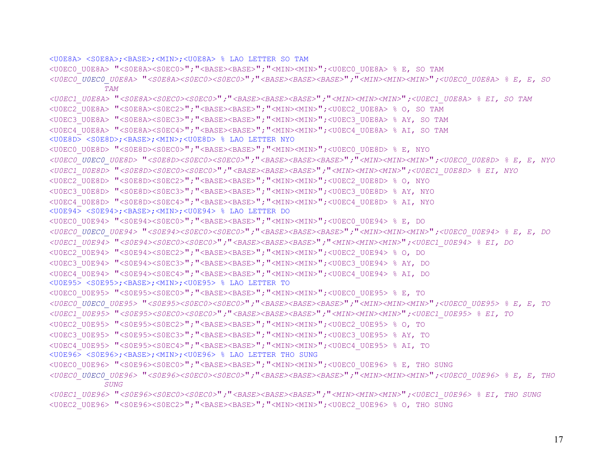<U0E8A> <S0E8A>;<BASE>;<MIN>;<U0E8A> % LAO LETTER SO TAM

<U0EC0 U0E8A> "<S0E8A><S0EC0>"; "<BASE><BASE>"; "<MIN><MIN>";<U0EC0 U0E8A> % E, SO TAM

*<U0EC0\_U0EC0\_U0E8A>* "*<S0E8A><S0EC0><S0EC0>*"*;*"*<BASE><BASE><BASE>*"*;*"*<MIN><MIN><MIN>*"*;<U0EC0\_U0E8A> % E, E, SO TAM* 

*<U0EC1\_U0E8A>* "*<S0E8A><S0EC0><S0EC0>*"*;*"*<BASE><BASE><BASE>*"*;*"*<MIN><MIN><MIN>*"*;<U0EC1\_U0E8A> % EI, SO TAM* 

```
<U0EC2_U0E8A> "<S0E8A><S0EC2>";"<BASE><BASE>";"<MIN><MIN>";<U0EC2_U0E8A> % O, SO TAM
```
<U0EC3\_U0E8A> "<S0E8A><S0EC3>";"<BASE><BASE>";"<MIN><MIN>";<U0EC3\_U0E8A> % AY, SO TAM

<U0EC4\_U0E8A> "<S0E8A><S0EC4>";"<BASE><BASE>";"<MIN><MIN>";<U0EC4\_U0E8A> % AI, SO TAM

<U0E8D> <S0E8D>;<BASE>;<MIN>;<U0E8D> % LAO LETTER NYO

<U0EC0\_U0E8D> "<S0E8D><S0EC0>";"<BASE><BASE>";"<MIN><MIN>";<U0EC0\_U0E8D> % E, NYO

```
<U0EC0_U0EC0_U0E8D> "<S0E8D><S0EC0><S0EC0>";"<BASE><BASE><BASE>";"<MIN><MIN><MIN>";<U0EC0_U0E8D> % E, E, NYO
```
*<U0EC1\_U0E8D>* "*<S0E8D><S0EC0><S0EC0>*"*;*"*<BASE><BASE><BASE>*"*;*"*<MIN><MIN><MIN>*"*;<U0EC1\_U0E8D> % EI, NYO* 

<U0EC2\_U0E8D> "<S0E8D><S0EC2>";"<BASE><BASE>";"<MIN><MIN>";<U0EC2\_U0E8D> % O, NYO

<U0EC3\_U0E8D> "<S0E8D><S0EC3>";"<BASE><BASE>";"<MIN><MIN>";<U0EC3\_U0E8D> % AY, NYO

```
<U0EC4_U0E8D> "<S0E8D><S0EC4>";"<BASE><BASE>";"<MIN><MIN>";<U0EC4_U0E8D> % AI, NYO
```
<U0E94> <S0E94>;<BASE>;<MIN>;<U0E94> % LAO LETTER DO

```
<U0EC0_U0E94> "<S0E94><S0EC0>";"<BASE><BASE>";"<MIN><MIN>";<U0EC0_U0E94> % E, DO
```

```
<U0EC0_U0EC0_U0E94> "<S0E94><S0EC0><S0EC0>";"<BASE><BASE><BASE>";"<MIN><MIN><MIN>";<U0EC0_U0E94> % E, E, DO
```
*<U0EC1\_U0E94>* "*<S0E94><S0EC0><S0EC0>*"*;*"*<BASE><BASE><BASE>*"*;*"*<MIN><MIN><MIN>*"*;<U0EC1\_U0E94> % EI, DO* 

```
<U0EC2_U0E94> "<S0E94><S0EC2>";"<BASE><BASE>";"<MIN><MIN>";<U0EC2_U0E94> % O, DO
```

```
<U0EC3_U0E94> "<S0E94><S0EC3>";"<BASE><BASE>";"<MIN><MIN>";<U0EC3_U0E94> % AY, DO
```

```
<U0EC4_U0E94> "<S0E94><S0EC4>";"<BASE><BASE>";"<MIN><MIN>";<U0EC4_U0E94> % AI, DO
```

```
<U0E95> <S0E95>;<BASE>;<MIN>;<U0E95> % LAO LETTER TO
```

```
<U0EC0_U0E95> "<S0E95><S0EC0>";"<BASE><BASE>";"<MIN><MIN>";<U0EC0_U0E95> % E, TO
```

```
<U0EC0_U0EC0_U0E95> "<S0E95><S0EC0><S0EC0>";"<BASE><BASE><BASE>";"<MIN><MIN><MIN>";<U0EC0_U0E95> % E, E, TO
```
*<U0EC1\_U0E95>* "*<S0E95><S0EC0><S0EC0>*"*;*"*<BASE><BASE><BASE>*"*;*"*<MIN><MIN><MIN>*"*;<U0EC1\_U0E95> % EI, TO* 

```
<U0EC2_U0E95> "<S0E95><S0EC2>";"<BASE><BASE>";"<MIN><MIN>";<U0EC2_U0E95> % O, TO
```

```
<U0EC3_U0E95> "<S0E95><S0EC3>";"<BASE><BASE>";"<MIN><MIN>";<U0EC3_U0E95> % AY, TO
```

```
<U0EC4_U0E95> "<S0E95><S0EC4>";"<BASE><BASE>";"<MIN><MIN>";<U0EC4_U0E95> % AI, TO
```

```
<U0E96> <S0E96>;<BASE>;<MIN>;<U0E96> % LAO LETTER THO SUNG
```

```
<U0EC0_U0E96> "<S0E96><S0EC0>";"<BASE><BASE>";"<MIN><MIN>";<U0EC0_U0E96> % E, THO SUNG
```

```
<U0EC0_U0EC0_U0E96> "<S0E96><S0EC0><S0EC0>";"<BASE><BASE><BASE>";"<MIN><MIN><MIN>";<U0EC0_U0E96> % E, E, THO 
           SUNG
```

```
<U0EC1_U0E96> "<S0E96><S0EC0><S0EC0>";"<BASE><BASE><BASE>";"<MIN><MIN><MIN>";<U0EC1_U0E96> % EI, THO SUNG 
<U0EC2_U0E96> "<S0E96><S0EC2>";"<BASE><BASE>";"<MIN><MIN>";<U0EC2_U0E96> % O, THO SUNG
```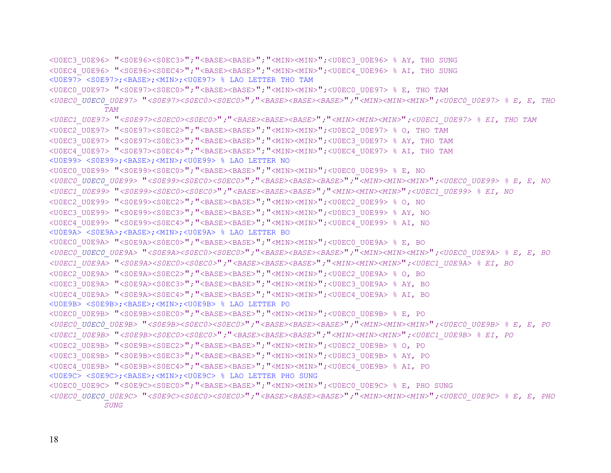```
<U0EC3_U0E96> "<S0E96><S0EC3>";"<BASE><BASE>";"<MIN><MIN>";<U0EC3_U0E96> % AY, THO SUNG 
<U0EC4_U0E96> "<S0E96><S0EC4>";"<BASE><BASE>";"<MIN><MIN>";<U0EC4_U0E96> % AI, THO SUNG 
<U0E97> <S0E97>;<BASE>;<MIN>;<U0E97> % LAO LETTER THO TAM 
<U0EC0_U0E97> "<S0E97><S0EC0>";"<BASE><BASE>";"<MIN><MIN>";<U0EC0_U0E97> % E, THO TAM 
<U0EC0_U0EC0_U0E97> "<S0E97><S0EC0><S0EC0>";"<BASE><BASE><BASE>";"<MIN><MIN><MIN>";<U0EC0_U0E97> % E, E, THO 
            TAM <U0EC1_U0E97> "<S0E97><S0EC0><S0EC0>";"<BASE><BASE><BASE>";"<MIN><MIN><MIN>";<U0EC1_U0E97> % EI, THO TAM 
<U0EC2_U0E97> "<S0E97><S0EC2>";"<BASE><BASE>";"<MIN><MIN>";<U0EC2_U0E97> % O, THO TAM 
<U0EC3_U0E97> "<S0E97><S0EC3>";"<BASE><BASE>";"<MIN><MIN>";<U0EC3_U0E97> % AY, THO TAM 
<U0EC4_U0E97> "<S0E97><S0EC4>";"<BASE><BASE>";"<MIN><MIN>";<U0EC4_U0E97> % AI, THO TAM 
<U0E99> <S0E99>;<BASE>;<MIN>;<U0E99> % LAO LETTER NO 
<U0EC0_U0E99> "<S0E99><S0EC0>";"<BASE><BASE>";"<MIN><MIN>";<U0EC0_U0E99> % E, NO 
<U0EC0_U0EC0_U0E99> "<S0E99><S0EC0><S0EC0>";"<BASE><BASE><BASE>";"<MIN><MIN><MIN>";<U0EC0_U0E99> % E, E, NO 
<U0EC1_U0E99> "<S0E99><S0EC0><S0EC0>";"<BASE><BASE><BASE>";"<MIN><MIN><MIN>";<U0EC1_U0E99> % EI, NO 
<U0EC2_U0E99> "<S0E99><S0EC2>";"<BASE><BASE>";"<MIN><MIN>";<U0EC2_U0E99> % O, NO 
<U0EC3_U0E99> "<S0E99><S0EC3>";"<BASE><BASE>";"<MIN><MIN>";<U0EC3_U0E99> % AY, NO 
<U0EC4_U0E99> "<S0E99><S0EC4>";"<BASE><BASE>";"<MIN><MIN>";<U0EC4_U0E99> % AI, NO 
<U0E9A> <S0E9A>;<BASE>;<MIN>;<U0E9A> % LAO LETTER BO 
<U0EC0_U0E9A> "<S0E9A><S0EC0>";"<BASE><BASE>";"<MIN><MIN>";<U0EC0_U0E9A> % E, BO 
<U0EC0_U0EC0_U0E9A> "<S0E9A><S0EC0><S0EC0>";"<BASE><BASE><BASE>";"<MIN><MIN><MIN>";<U0EC0_U0E9A> % E, E, BO 
<U0EC1_U0E9A> "<S0E9A><S0EC0><S0EC0>";"<BASE><BASE><BASE>";"<MIN><MIN><MIN>";<U0EC1_U0E9A> % EI, BO 
<U0EC2_U0E9A> "<S0E9A><S0EC2>";"<BASE><BASE>";"<MIN><MIN>";<U0EC2_U0E9A> % O, BO 
<U0EC3_U0E9A> "<S0E9A><S0EC3>";"<BASE><BASE>";"<MIN><MIN>";<U0EC3_U0E9A> % AY, BO 
<U0EC4_U0E9A> "<S0E9A><S0EC4>";"<BASE><BASE>";"<MIN><MIN>";<U0EC4_U0E9A> % AI, BO 
<U0E9B> <S0E9B>;<BASE>;<MIN>;<U0E9B> % LAO LETTER PO 
<U0EC0_U0E9B> "<S0E9B><S0EC0>";"<BASE><BASE>";"<MIN><MIN>";<U0EC0_U0E9B> % E, PO 
<U0EC0_U0EC0_U0E9B> "<S0E9B><S0EC0><S0EC0>";"<BASE><BASE><BASE>";"<MIN><MIN><MIN>";<U0EC0_U0E9B> % E, E, PO 
<U0EC1_U0E9B> "<S0E9B><S0EC0><S0EC0>";"<BASE><BASE><BASE>";"<MIN><MIN><MIN>";<U0EC1_U0E9B> % EI, PO 
<U0EC2_U0E9B> "<S0E9B><S0EC2>";"<BASE><BASE>";"<MIN><MIN>";<U0EC2_U0E9B> % O, PO 
<U0EC3_U0E9B> "<S0E9B><S0EC3>";"<BASE><BASE>";"<MIN><MIN>";<U0EC3_U0E9B> % AY, PO 
<U0EC4_U0E9B> "<S0E9B><S0EC4>";"<BASE><BASE>";"<MIN><MIN>";<U0EC4_U0E9B> % AI, PO 
<U0E9C> <S0E9C>;<BASE>;<MIN>;<U0E9C> % LAO LETTER PHO SUNG 
<U0EC0 U0E9C> "<S0E9C><S0EC0>"; "<BASE><BASE>"; "<MIN><MIN>";<U0EC0 U0E9C> % E, PHO SUNG
<U0EC0_U0EC0_U0E9C> "<S0E9C><S0EC0><S0EC0>";"<BASE><BASE><BASE>";"<MIN><MIN><MIN>";<U0EC0_U0E9C> % E, E, PHO 
            SUNG
```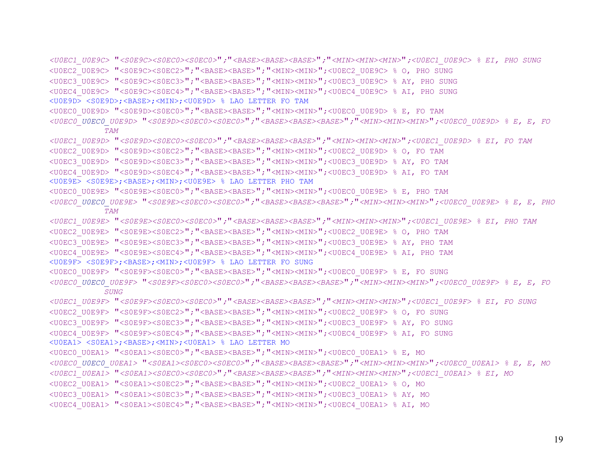```
<U0EC1_U0E9C> "<S0E9C><S0EC0><S0EC0>";"<BASE><BASE><BASE>";"<MIN><MIN><MIN>";<U0EC1_U0E9C> % EI, PHO SUNG 
<U0EC2_U0E9C> "<S0E9C><S0EC2>";"<BASE><BASE>";"<MIN><MIN>";<U0EC2_U0E9C> % O, PHO SUNG 
<U0EC3_U0E9C> "<S0E9C><S0EC3>";"<BASE><BASE>";"<MIN><MIN>";<U0EC3_U0E9C> % AY, PHO SUNG 
<U0EC4_U0E9C> "<S0E9C><S0EC4>";"<BASE><BASE>";"<MIN><MIN>";<U0EC4_U0E9C> % AI, PHO SUNG 
<U0E9D> <S0E9D>;<BASE>;<MIN>;<U0E9D> % LAO LETTER FO TAM 
<U0EC0_U0E9D> "<S0E9D><S0EC0>";"<BASE><BASE>";"<MIN><MIN>";<U0EC0_U0E9D> % E, FO TAM 
<U0EC0_U0EC0_U0E9D> "<S0E9D><S0EC0><S0EC0>";"<BASE><BASE><BASE>";"<MIN><MIN><MIN>";<U0EC0_U0E9D> % E, E, FO 
           TAM <U0EC1_U0E9D> "<S0E9D><S0EC0><S0EC0>";"<BASE><BASE><BASE>";"<MIN><MIN><MIN>";<U0EC1_U0E9D> % EI, FO TAM 
<U0EC2_U0E9D> "<S0E9D><S0EC2>";"<BASE><BASE>";"<MIN><MIN>";<U0EC2_U0E9D> % O, FO TAM 
<U0EC3_U0E9D> "<S0E9D><S0EC3>";"<BASE><BASE>";"<MIN><MIN>";<U0EC3_U0E9D> % AY, FO TAM 
<U0EC4_U0E9D> "<S0E9D><S0EC4>";"<BASE><BASE>";"<MIN><MIN>";<U0EC3_U0E9D> % AI, FO TAM 
<U0E9E> <S0E9E>;<BASE>;<MIN>;<U0E9E> % LAO LETTER PHO TAM 
<U0EC0_U0E9E> "<S0E9E><S0EC0>";"<BASE><BASE>";"<MIN><MIN>";<U0EC0_U0E9E> % E, PHO TAM 
<U0EC0_U0EC0_U0E9E> "<S0E9E><S0EC0><S0EC0>";"<BASE><BASE><BASE>";"<MIN><MIN><MIN>";<U0EC0_U0E9E> % E, E, PHO 
            TAM <U0EC1_U0E9E> "<S0E9E><S0EC0><S0EC0>";"<BASE><BASE><BASE>";"<MIN><MIN><MIN>";<U0EC1_U0E9E> % EI, PHO TAM 
<U0EC2_U0E9E> "<S0E9E><S0EC2>";"<BASE><BASE>";"<MIN><MIN>";<U0EC2_U0E9E> % O, PHO TAM 
<U0EC3_U0E9E> "<S0E9E><S0EC3>";"<BASE><BASE>";"<MIN><MIN>";<U0EC3_U0E9E> % AY, PHO TAM 
<U0EC4_U0E9E> "<S0E9E><S0EC4>";"<BASE><BASE>";"<MIN><MIN>";<U0EC4_U0E9E> % AI, PHO TAM 
<U0E9F> <S0E9F>;<BASE>;<MIN>;<U0E9F> % LAO LETTER FO SUNG 
<U0EC0_U0E9F> "<S0E9F><S0EC0>";"<BASE><BASE>";"<MIN><MIN>";<U0EC0_U0E9F> % E, FO SUNG 
<U0EC0_U0EC0_U0E9F> "<S0E9F><S0EC0><S0EC0>";"<BASE><BASE><BASE>";"<MIN><MIN><MIN>";<U0EC0_U0E9F> % E, E, FO 
           SUNG <U0EC1_U0E9F> "<S0E9F><S0EC0><S0EC0>";"<BASE><BASE><BASE>";"<MIN><MIN><MIN>";<U0EC1_U0E9F> % EI, FO SUNG 
<U0EC2_U0E9F> "<S0E9F><S0EC2>";"<BASE><BASE>";"<MIN><MIN>";<U0EC2_U0E9F> % O, FO SUNG 
<U0EC3_U0E9F> "<S0E9F><S0EC3>";"<BASE><BASE>";"<MIN><MIN>";<U0EC3_U0E9F> % AY, FO SUNG 
<U0EC4_U0E9F> "<S0E9F><S0EC4>";"<BASE><BASE>";"<MIN><MIN>";<U0EC4_U0E9F> % AI, FO SUNG 
<U0EA1> <S0EA1>;<BASE>;<MIN>;<U0EA1> % LAO LETTER MO 
<U0EC0_U0EA1> "<S0EA1><S0EC0>";"<BASE><BASE>";"<MIN><MIN>";<U0EC0_U0EA1> % E, MO 
<U0EC0_U0EC0_U0EA1> "<S0EA1><S0EC0><S0EC0>";"<BASE><BASE><BASE>";"<MIN><MIN><MIN>";<U0EC0_U0EA1> % E, E, MO 
<U0EC1_U0EA1> "<S0EA1><S0EC0><S0EC0>";"<BASE><BASE><BASE>";"<MIN><MIN><MIN>";<U0EC1_U0EA1> % EI, MO 
<U0EC2_U0EA1> "<S0EA1><S0EC2>";"<BASE><BASE>";"<MIN><MIN>";<U0EC2_U0EA1> % O, MO 
<U0EC3 U0EA1> "<S0EA1><S0EC3>"; "<BASE><BASE>"; "<MIN><MIN>";<U0EC3 U0EA1> % AY, MO
<U0EC4_U0EA1> "<S0EA1><S0EC4>";"<BASE><BASE>";"<MIN><MIN>";<U0EC4_U0EA1> % AI, MO
```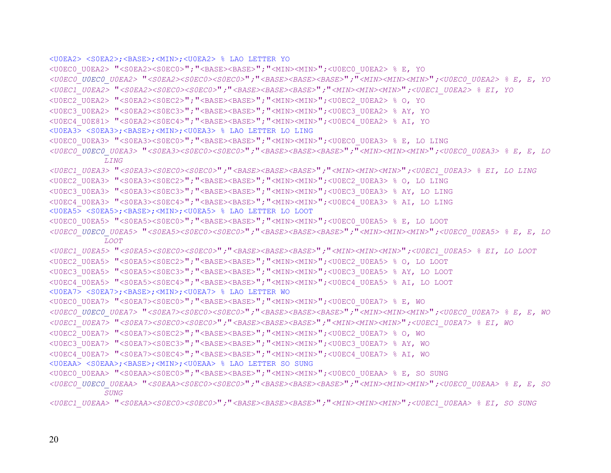```
<U0EA2> <S0EA2>;<BASE>;<MIN>;<U0EA2> % LAO LETTER YO 
<U0EC0_U0EA2> "<S0EA2><S0EC0>";"<BASE><BASE>";"<MIN><MIN>";<U0EC0_U0EA2> % E, YO 
<U0EC0_U0EC0_U0EA2> "<S0EA2><S0EC0><S0EC0>";"<BASE><BASE><BASE>";"<MIN><MIN><MIN>";<U0EC0_U0EA2> % E, E, YO 
<U0EC1_U0EA2> "<S0EA2><S0EC0><S0EC0>";"<BASE><BASE><BASE>";"<MIN><MIN><MIN>";<U0EC1_U0EA2> % EI, YO 
<U0EC2_U0EA2> "<S0EA2><S0EC2>";"<BASE><BASE>";"<MIN><MIN>";<U0EC2_U0EA2> % O, YO 
<U0EC3_U0EA2> "<S0EA2><S0EC3>";"<BASE><BASE>";"<MIN><MIN>";<U0EC3_U0EA2> % AY, YO 
<U0EC4_U0E81> "<S0EA2><S0EC4>";"<BASE><BASE>";"<MIN><MIN>";<U0EC4_U0EA2> % AI, YO 
<U0EA3> <S0EA3>;<BASE>;<MIN>;<U0EA3> % LAO LETTER LO LING 
<U0EC0_U0EA3> "<S0EA3><S0EC0>";"<BASE><BASE>";"<MIN><MIN>";<U0EC0_U0EA3> % E, LO LING 
<U0EC0_U0EC0_U0EA3> "<S0EA3><S0EC0><S0EC0>";"<BASE><BASE><BASE>";"<MIN><MIN><MIN>";<U0EC0_U0EA3> % E, E, LO 
           LING <U0EC1_U0EA3> "<S0EA3><S0EC0><S0EC0>";"<BASE><BASE><BASE>";"<MIN><MIN><MIN>";<U0EC1_U0EA3> % EI, LO LING 
<U0EC2_U0EA3> "<S0EA3><S0EC2>";"<BASE><BASE>";"<MIN><MIN>";<U0EC2_U0EA3> % O, LO LING 
<U0EC3_U0EA3> "<S0EA3><S0EC3>";"<BASE><BASE>";"<MIN><MIN>";<U0EC3_U0EA3> % AY, LO LING
```

```
<U0EC4_U0EA3> "<S0EA3><S0EC4>";"<BASE><BASE>";"<MIN><MIN>";<U0EC4_U0EA3> % AI, LO LING
```

```
<U0EA5> <S0EA5>;<BASE>;<MIN>;<U0EA5> % LAO LETTER LO LOOT
```

```
<U0EC0_U0EA5> "<S0EA5><S0EC0>";"<BASE><BASE>";"<MIN><MIN>";<U0EC0_U0EA5> % E, LO LOOT
```

```
<U0EC0_U0EC0_U0EA5> "<S0EA5><S0EC0><S0EC0>";"<BASE><BASE><BASE>";"<MIN><MIN><MIN>";<U0EC0_U0EA5> % E, E, LO 
           LOOT
```
*<U0EC1\_U0EA5>* "*<S0EA5><S0EC0><S0EC0>*"*;*"*<BASE><BASE><BASE>*"*;*"*<MIN><MIN><MIN>*"*;<U0EC1\_U0EA5> % EI, LO LOOT*  <U0EC2\_U0EA5> "<S0EA5><S0EC2>";"<BASE><BASE>";"<MIN><MIN>";<U0EC2\_U0EA5> % O, LO LOOT

```
<U0EC3_U0EA5> "<S0EA5><S0EC3>";"<BASE><BASE>";"<MIN><MIN>";<U0EC3_U0EA5> % AY, LO LOOT
```

```
<U0EC4_U0EA5> "<S0EA5><S0EC4>";"<BASE><BASE>";"<MIN><MIN>";<U0EC4_U0EA5> % AI, LO LOOT
```

```
<U0EA7> <S0EA7>;<BASE>;<MIN>;<U0EA7> % LAO LETTER WO
```

```
<U0EC0_U0EA7> "<S0EA7><S0EC0>";"<BASE><BASE>";"<MIN><MIN>";<U0EC0_U0EA7> % E, WO
```

```
<U0EC0_U0EC0_U0EA7> "<S0EA7><S0EC0><S0EC0>";"<BASE><BASE><BASE>";"<MIN><MIN><MIN>";<U0EC0_U0EA7> % E, E, WO
```

```
<U0EC1_U0EA7> "<S0EA7><S0EC0><S0EC0>";"<BASE><BASE><BASE>";"<MIN><MIN><MIN>";<U0EC1_U0EA7> % EI, WO
```

```
<U0EC2_U0EA7> "<S0EA7><S0EC2>";"<BASE><BASE>";"<MIN><MIN>";<U0EC2_U0EA7> % O, WO
```

```
<U0EC3_U0EA7> "<S0EA7><S0EC3>";"<BASE><BASE>";"<MIN><MIN>";<U0EC3_U0EA7> % AY, WO
```

```
<U0EC4_U0EA7> "<S0EA7><S0EC4>";"<BASE><BASE>";"<MIN><MIN>";<U0EC4_U0EA7> % AI, WO
```

```
<U0EAA> <S0EAA>;<BASE>;<MIN>;<U0EAA> % LAO LETTER SO SUNG
```

```
<U0EC0 U0EAA> "<S0EAA><S0EC0>"; "<BASE><BASE>"; "<MIN><MIN>";<U0EC0 U0EAA> % E, SO SUNG
```

```
<U0EC0_U0EC0_U0EAA> "<S0EAA><S0EC0><S0EC0>";"<BASE><BASE><BASE>";"<MIN><MIN><MIN>";<U0EC0_U0EAA> % E, E, SO 
           SUNG
```

```
<U0EC1_U0EAA> "<S0EAA><S0EC0><S0EC0>";"<BASE><BASE><BASE>";"<MIN><MIN><MIN>";<U0EC1_U0EAA> % EI, SO SUNG
```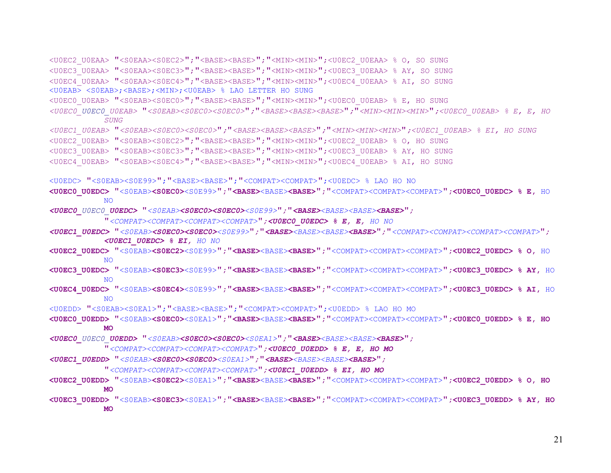```
<U0EC2_U0EAA> "<S0EAA><S0EC2>";"<BASE><BASE>";"<MIN><MIN>";<U0EC2_U0EAA> % O, SO SUNG 
<U0EC3_U0EAA> "<S0EAA><S0EC3>";"<BASE><BASE>";"<MIN><MIN>";<U0EC3_U0EAA> % AY, SO SUNG 
<U0EC4_U0EAA> "<S0EAA><S0EC4>";"<BASE><BASE>";"<MIN><MIN>";<U0EC4_U0EAA> % AI, SO SUNG 
<U0EAB> <S0EAB>;<BASE>;<MIN>;<U0EAB> % LAO LETTER HO SUNG
<U0EC0_U0EAB> "<S0EAB><S0EC0>";"<BASE><BASE>";"<MIN><MIN>";<U0EC0_U0EAB> % E, HO SUNG 
<U0EC0_U0EC0_U0EAB> "<S0EAB><S0EC0><S0EC0>";"<BASE><BASE><BASE>";"<MIN><MIN><MIN>";<U0EC0_U0EAB> % E, E, HO 
           SUNG <U0EC1_U0EAB> "<S0EAB><S0EC0><S0EC0>";"<BASE><BASE><BASE>";"<MIN><MIN><MIN>";<U0EC1_U0EAB> % EI, HO SUNG 
<U0EC2_U0EAB> "<S0EAB><S0EC2>";"<BASE><BASE>";"<MIN><MIN>";<U0EC2_U0EAB> % O, HO SUNG 
<U0EC3_U0EAB> "<S0EAB><S0EC3>";"<BASE><BASE>";"<MIN><MIN>";<U0EC3_U0EAB> % AY, HO SUNG 
<U0EC4_U0EAB> "<S0EAB><S0EC4>";"<BASE><BASE>";"<MIN><MIN>";<U0EC4_U0EAB> % AI, HO SUNG 
<U0EDC> "<S0EAB><S0E99>";"<BASE><BASE>";"<COMPAT><COMPAT>";<U0EDC> % LAO HO NO 
<U0EC0_U0EDC> "<S0EAB><S0EC0><S0E99>";"<BASE><BASE><BASE>";"<COMPAT><COMPAT><COMPAT>";<U0EC0_U0EDC> % E, HO 
           NO<U0EC0_U0EC0_U0EDC> "<S0EAB><S0EC0><S0EC0><S0E99>";"<BASE><BASE><BASE><BASE>"; 
           "<COMPAT><COMPAT><COMPAT><COMPAT>";<U0EC0_U0EDC> % E, E, HO NO
<U0EC1_U0EDC> "<S0EAB><S0EC0><S0EC0><S0E99>";"<BASE><BASE><BASE><BASE>";"<COMPAT><COMPAT><COMPAT><COMPAT>"; 
           <U0EC1_U0EDC> % EI, HO NO
<U0EC2_U0EDC> "<S0EAB><S0EC2><S0E99>";"<BASE><BASE><BASE>";"<COMPAT><COMPAT><COMPAT>";<U0EC2_U0EDC> % O, HO 
            NO<U0EC3_U0EDC> "<S0EAB><S0EC3><S0E99>";"<BASE><BASE><BASE>";"<COMPAT><COMPAT><COMPAT>";<U0EC3_U0EDC> % AY, HO 
           NO<U0EC4_U0EDC> "<S0EAB><S0EC4><S0E99>";"<BASE><BASE><BASE>";"<COMPAT><COMPAT><COMPAT>";<U0EC3_U0EDC> % AI, HO 
            NO<U0EDD> "<S0EAB><S0EA1>";"<BASE><BASE>";"<COMPAT><COMPAT>";<U0EDD> % LAO HO MO 
<U0EC0_U0EDD> "<S0EAB><S0EC0><S0EA1>";"<BASE><BASE><BASE>";"<COMPAT><COMPAT><COMPAT>";<U0EC0_U0EDD> % E, HO 
           MO <U0EC0_U0EC0_U0EDD> "<S0EAB><S0EC0><S0EC0><S0EA1>";"<BASE><BASE><BASE><BASE>";
```

```
"<COMPAT><COMPAT><COMPAT><COMPAT>";<U0EC0_U0EDD> % E, E, HO MO
```
*<U0EC1\_U0EDD>* "*<S0EAB><S0EC0><S0EC0><S0EA1>*"*;*"*<BASE><BASE><BASE><BASE>*"*;* 

"*<COMPAT><COMPAT><COMPAT><COMPAT>*"*;<U0EC1\_U0EDD> % EI, HO MO* 

- **<U0EC2\_U0EDD>** "<S0EAB>**<S0EC2>**<S0EA1>"**;**"**<BASE>**<BASE>**<BASE>**"**;**"<COMPAT><COMPAT><COMPAT>"**;<U0EC2\_U0EDD> % O, HO MO**
- **<U0EC3\_U0EDD>** "<S0EAB>**<S0EC3>**<S0EA1>"**;**"**<BASE>**<BASE>**<BASE>**"**;**"<COMPAT><COMPAT><COMPAT>"**;<U0EC3\_U0EDD> % AY, HO MO**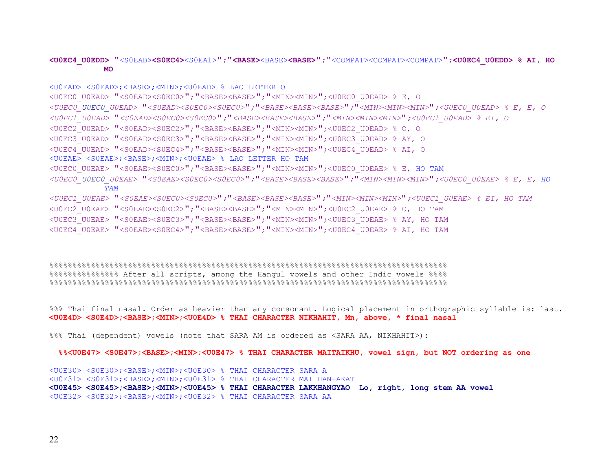#### **<U0EC4\_U0EDD>** "<S0EAB>**<S0EC4>**<S0EA1>"**;**"**<BASE>**<BASE>**<BASE>**"**;**"<COMPAT><COMPAT><COMPAT>"**;<U0EC4\_U0EDD> % AI, HO MO**

```
<U0EAD> <S0EAD>;<BASE>;<MIN>;<U0EAD> % LAO LETTER O 
<U0EC0 U0EAD> "<S0EAD><S0EC0>"; "<BASE><BASE>"; "<MIN><MIN>";<U0EC0 U0EAD> % E, O
<U0EC0_U0EC0_U0EAD> "<S0EAD><S0EC0><S0EC0>";"<BASE><BASE><BASE>";"<MIN><MIN><MIN>";<U0EC0_U0EAD> % E, E, O 
<U0EC1_U0EAD> "<S0EAD><S0EC0><S0EC0>";"<BASE><BASE><BASE>";"<MIN><MIN><MIN>";<U0EC1_U0EAD> % EI, O 
<U0EC2_U0EAD> "<S0EAD><S0EC2>";"<BASE><BASE>";"<MIN><MIN>";<U0EC2_U0EAD> % O, O 
<U0EC3_U0EAD> "<S0EAD><S0EC3>";"<BASE><BASE>";"<MIN><MIN>";<U0EC3_U0EAD> % AY, O 
<U0EC4_U0EAD> "<S0EAD><S0EC4>";"<BASE><BASE>";"<MIN><MIN>";<U0EC4_U0EAD> % AI, O 
<U0EAE> <S0EAE>;<BASE>;<MIN>;<U0EAE> % LAO LETTER HO TAM 
<U0EC0 U0EAE> "<S0EAE><S0EC0>"; "<BASE><BASE>"; "<MIN><MIN>";<U0EC0 U0EAE> % E, HO TAM
<U0EC0_U0EC0_U0EAE> "<S0EAE><S0EC0><S0EC0>";"<BASE><BASE><BASE>";"<MIN><MIN><MIN>";<U0EC0_U0EAE> % E, E, HO 
           TAM<U0EC1_U0EAE> "<S0EAE><S0EC0><S0EC0>";"<BASE><BASE><BASE>";"<MIN><MIN><MIN>";<U0EC1_U0EAE> % EI, HO TAM 
<U0EC2_U0EAE> "<S0EAE><S0EC2>";"<BASE><BASE>";"<MIN><MIN>";<U0EC2_U0EAE> % O, HO TAM 
<U0EC3_U0EAE> "<S0EAE><S0EC3>";"<BASE><BASE>";"<MIN><MIN>";<U0EC3_U0EAE> % AY, HO TAM 
<U0EC4_U0EAE> "<S0EAE><S0EC4>";"<BASE><BASE>";"<MIN><MIN>";<U0EC4_U0EAE> % AI, HO TAM
```
%%%%%%%%%%%%%%%%%%%%%%%%%%%%%%%%%%%%%%%%%%%%%%%%%%%%%%%%%%%%%%%%%%%%%%%%%%%%%%%%%%%%%% %%%%%%%%%%%%%%% After all scripts, among the Hangul vowels and other Indic vowels %%%% %%%%%%%%%%%%%%%%%%%%%%%%%%%%%%%%%%%%%%%%%%%%%%%%%%%%%%%%%%%%%%%%%%%%%%%%%%%%%%%%%%%%%%

%%% Thai final nasal. Order as heavier than any consonant. Logical placement in orthographic syllable is: last. **<U0E4D> <S0E4D>;<BASE>;<MIN>;<U0E4D> % THAI CHARACTER NIKHAHIT, Mn, above, \* final nasal** 

%%% Thai (dependent) vowels (note that SARA AM is ordered as <SARA AA, NIKHAHIT>):

 **%%<U0E47> <S0E47>;<BASE>;<MIN>;<U0E47> % THAI CHARACTER MAITAIKHU, vowel sign, but NOT ordering as one** 

<U0E30> <S0E30>;<BASE>;<MIN>;<U0E30> % THAI CHARACTER SARA A <U0E31> <S0E31>;<BASE>;<MIN>;<U0E31> % THAI CHARACTER MAI HAN-AKAT **<U0E45> <S0E45>;<BASE>;<MIN>;<U0E45> % THAI CHARACTER LAKKHANGYAO Lo, right, long stem AA vowel**  <U0E32> <S0E32>;<BASE>;<MIN>;<U0E32> % THAI CHARACTER SARA AA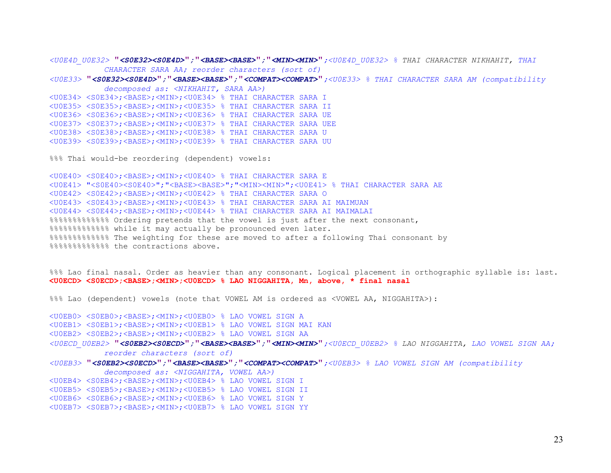*<U0E4D\_U0E32>* "*<S0E32><S0E4D>*"*;*"*<BASE><BASE>*"*;*"*<MIN><MIN>*"*;<U0E4D\_U0E32> % THAI CHARACTER NIKHAHIT, THAI CHARACTER SARA AA; reorder characters (sort of)* 

*<U0E33>* "*<S0E32><S0E4D>*"*;*"*<BASE><BASE>*"*;*"*<COMPAT><COMPAT>*"*;<U0E33> % THAI CHARACTER SARA AM (compatibility decomposed as: <NIKHAHIT, SARA AA>)* 

<U0E34> <S0E34>;<BASE>;<MIN>;<U0E34> % THAI CHARACTER SARA I <U0E35> <S0E35>;<BASE>;<MIN>;<U0E35> % THAI CHARACTER SARA II <U0E36> <S0E36>;<BASE>;<MIN>;<U0E36> % THAI CHARACTER SARA UE <U0E37> <S0E37>;<BASE>;<MIN>;<U0E37> % THAI CHARACTER SARA UEE <U0E38> <S0E38>;<BASE>;<MIN>;<U0E38> % THAI CHARACTER SARA U <U0E39> <S0E39>;<BASE>;<MIN>;<U0E39> % THAI CHARACTER SARA UU

%%% Thai would-be reordering (dependent) vowels:

<U0E40> <S0E40>;<BASE>;<MIN>;<U0E40> % THAI CHARACTER SARA E <U0E41> "<S0E40><S0E40>";"<BASE><BASE>";"<MIN><MIN>";<U0E41> % THAI CHARACTER SARA AE <U0E42> <S0E42>;<BASE>;<MIN>;<U0E42> % THAI CHARACTER SARA O <U0E43> <S0E43>;<BASE>;<MIN>;<U0E43> % THAI CHARACTER SARA AI MAIMUAN <U0E44> <S0E44>;<BASE>;<MIN>;<U0E44> % THAI CHARACTER SARA AI MAIMALAI %%%%%%%%%%%%% Ordering pretends that the vowel is just after the next consonant, %%%%%%%%%%%%% while it may actually be pronounced even later. %%%%%%%%%%%%% The weighting for these are moved to after a following Thai consonant by %%%%%%%%%%%%% the contractions above.

%%% Lao final nasal. Order as heavier than any consonant. Logical placement in orthographic syllable is: last. **<U0ECD> <S0ECD>;<BASE>;<MIN>;<U0ECD> % LAO NIGGAHITA, Mn, above, \* final nasal** 

%%% Lao (dependent) vowels (note that VOWEL AM is ordered as <VOWEL AA, NIGGAHITA>):

<U0EB0> <S0EB0>;<BASE>;<MIN>;<U0EB0> % LAO VOWEL SIGN A <U0EB1> <S0EB1>;<BASE>;<MIN>;<U0EB1> % LAO VOWEL SIGN MAI KAN

<U0EB2> <S0EB2>;<BASE>;<MIN>;<U0EB2> % LAO VOWEL SIGN AA

- *<U0ECD\_U0EB2>* "*<S0EB2><S0ECD>*"*;*"*<BASE><BASE>*"*;*"*<MIN><MIN>*"*;<U0ECD\_U0EB2> % LAO NIGGAHITA, LAO VOWEL SIGN AA; reorder characters (sort of)*
- *<U0EB3>* "*<S0EB2><S0ECD>*"*;*"*<BASE><BASE>*"*;*"*<COMPAT><COMPAT>*"*;<U0EB3> % LAO VOWEL SIGN AM (compatibility*

*decomposed as: <NIGGAHITA, VOWEL AA>)* 

<U0EB4> <S0EB4>;<BASE>;<MIN>;<U0EB4> % LAO VOWEL SIGN I

- <U0EB5> <S0EB5>;<BASE>;<MIN>;<U0EB5> % LAO VOWEL SIGN II
- <U0EB6> <S0EB6>;<BASE>;<MIN>;<U0EB6> % LAO VOWEL SIGN Y
- <U0EB7> <S0EB7>;<BASE>;<MIN>;<U0EB7> % LAO VOWEL SIGN YY